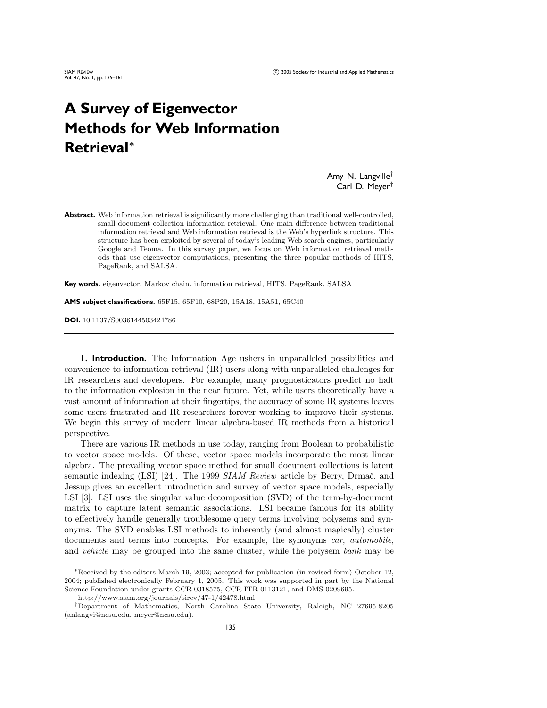## **A Survey of Eigenvector Methods for Web Information Retrieval***<sup>∗</sup>*

Amy N. Langville† Carl D. Meyer†

**Abstract.** Web information retrieval is significantly more challenging than traditional well-controlled, small document collection information retrieval. One main difference between traditional information retrieval and Web information retrieval is the Web's hyperlink structure. This structure has been exploited by several of today's leading Web search engines, particularly Google and Teoma. In this survey paper, we focus on Web information retrieval methods that use eigenvector computations, presenting the three popular methods of HITS, PageRank, and SALSA.

**Key words.** eigenvector, Markov chain, information retrieval, HITS, PageRank, SALSA

**AMS subject classifications.** 65F15, 65F10, 68P20, 15A18, 15A51, 65C40

**DOI.** 10.1137/S0036144503424786

**1. Introduction.** The Information Age ushers in unparalleled possibilities and convenience to information retrieval (IR) users along with unparalleled challenges for IR researchers and developers. For example, many prognosticators predict no halt to the information explosion in the near future. Yet, while users theoretically have a vast amount of information at their fingertips, the accuracy of some IR systems leaves some users frustrated and IR researchers forever working to improve their systems. We begin this survey of modern linear algebra-based IR methods from a historical perspective.

There are various IR methods in use today, ranging from Boolean to probabilistic to vector space models. Of these, vector space models incorporate the most linear algebra. The prevailing vector space method for small document collections is latent semantic indexing (LSI) [24]. The 1999 SIAM Review article by Berry, Drmač, and Jessup gives an excellent introduction and survey of vector space models, especially LSI [3]. LSI uses the singular value decomposition (SVD) of the term-by-document matrix to capture latent semantic associations. LSI became famous for its ability to effectively handle generally troublesome query terms involving polysems and synonyms. The SVD enables LSI methods to inherently (and almost magically) cluster documents and terms into concepts. For example, the synonyms *car*, *automobile*, and *vehicle* may be grouped into the same cluster, while the polysem *bank* may be

<sup>∗</sup>Received by the editors March 19, 2003; accepted for publication (in revised form) October 12, 2004; published electronically February 1, 2005. This work was supported in part by the National Science Foundation under grants CCR-0318575, CCR-ITR-0113121, and DMS-0209695.

http://www.siam.org/journals/sirev/47-1/42478.html

<sup>†</sup>Department of Mathematics, North Carolina State University, Raleigh, NC 27695-8205 (anlangvi@ncsu.edu, meyer@ncsu.edu).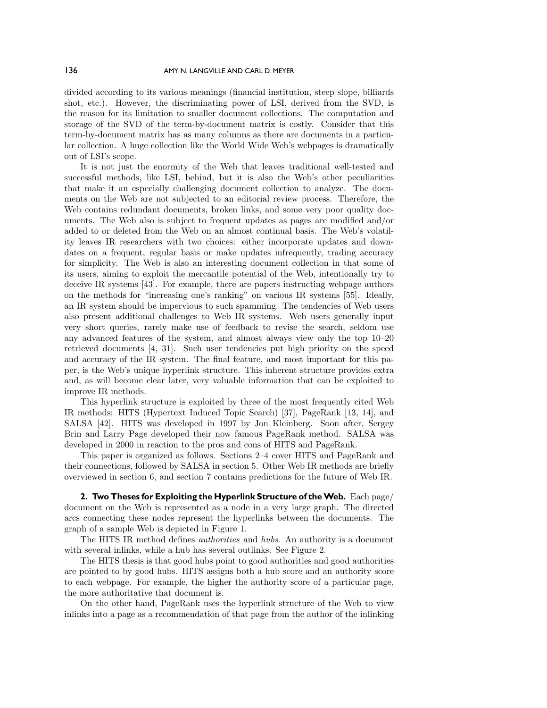divided according to its various meanings (financial institution, steep slope, billiards shot, etc.). However, the discriminating power of LSI, derived from the SVD, is the reason for its limitation to smaller document collections. The computation and storage of the SVD of the term-by-document matrix is costly. Consider that this term-by-document matrix has as many columns as there are documents in a particular collection. A huge collection like the World Wide Web's webpages is dramatically out of LSI's scope.

It is not just the enormity of the Web that leaves traditional well-tested and successful methods, like LSI, behind, but it is also the Web's other peculiarities that make it an especially challenging document collection to analyze. The documents on the Web are not subjected to an editorial review process. Therefore, the Web contains redundant documents, broken links, and some very poor quality documents. The Web also is subject to frequent updates as pages are modified and/or added to or deleted from the Web on an almost continual basis. The Web's volatility leaves IR researchers with two choices: either incorporate updates and downdates on a frequent, regular basis or make updates infrequently, trading accuracy for simplicity. The Web is also an interesting document collection in that some of its users, aiming to exploit the mercantile potential of the Web, intentionally try to deceive IR systems [43]. For example, there are papers instructing webpage authors on the methods for "increasing one's ranking" on various IR systems [55]. Ideally, an IR system should be impervious to such spamming. The tendencies of Web users also present additional challenges to Web IR systems. Web users generally input very short queries, rarely make use of feedback to revise the search, seldom use any advanced features of the system, and almost always view only the top 10–20 retrieved documents [4, 31]. Such user tendencies put high priority on the speed and accuracy of the IR system. The final feature, and most important for this paper, is the Web's unique hyperlink structure. This inherent structure provides extra and, as will become clear later, very valuable information that can be exploited to improve IR methods.

This hyperlink structure is exploited by three of the most frequently cited Web IR methods: HITS (Hypertext Induced Topic Search) [37], PageRank [13, 14], and SALSA [42]. HITS was developed in 1997 by Jon Kleinberg. Soon after, Sergey Brin and Larry Page developed their now famous PageRank method. SALSA was developed in 2000 in reaction to the pros and cons of HITS and PageRank.

This paper is organized as follows. Sections 2–4 cover HITS and PageRank and their connections, followed by SALSA in section 5. Other Web IR methods are briefly overviewed in section 6, and section 7 contains predictions for the future of Web IR.

**2. Two Theses for Exploiting the Hyperlink Structure of theWeb.** Each page/ document on the Web is represented as a node in a very large graph. The directed arcs connecting these nodes represent the hyperlinks between the documents. The graph of a sample Web is depicted in Figure 1.

The HITS IR method defines *authorities* and hubs. An authority is a document with several inlinks, while a hub has several outlinks. See Figure 2.

The HITS thesis is that good hubs point to good authorities and good authorities are pointed to by good hubs. HITS assigns both a hub score and an authority score to each webpage. For example, the higher the authority score of a particular page, the more authoritative that document is.

On the other hand, PageRank uses the hyperlink structure of the Web to view inlinks into a page as a recommendation of that page from the author of the inlinking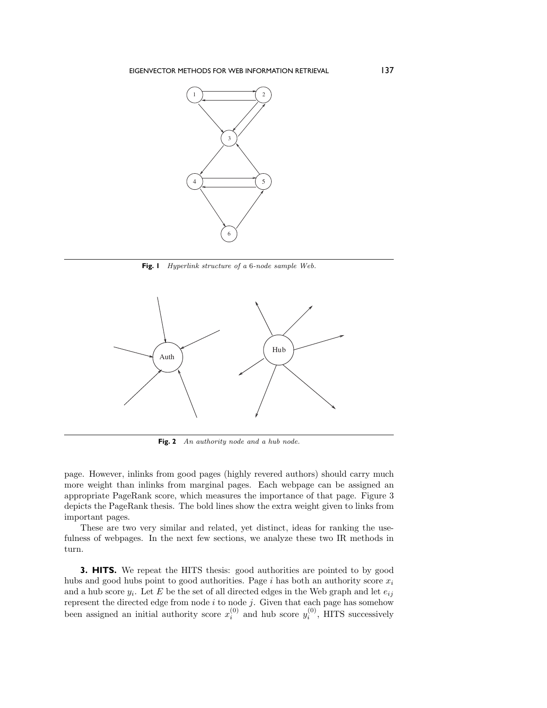

**Fig. 1** Hyperlink structure of a 6-node sample Web.



Fig. 2 An authority node and a hub node.

page. However, inlinks from good pages (highly revered authors) should carry much more weight than inlinks from marginal pages. Each webpage can be assigned an appropriate PageRank score, which measures the importance of that page. Figure 3 depicts the PageRank thesis. The bold lines show the extra weight given to links from important pages.

These are two very similar and related, yet distinct, ideas for ranking the usefulness of webpages. In the next few sections, we analyze these two IR methods in turn.

**3. HITS.** We repeat the HITS thesis: good authorities are pointed to by good hubs and good hubs point to good authorities. Page i has both an authority score  $x_i$ and a hub score  $y_i$ . Let E be the set of all directed edges in the Web graph and let  $e_{ij}$ represent the directed edge from node  $i$  to node  $j$ . Given that each page has somehow been assigned an initial authority score  $x_i^{(0)}$  and hub score  $y_i^{(0)}$ , HITS successively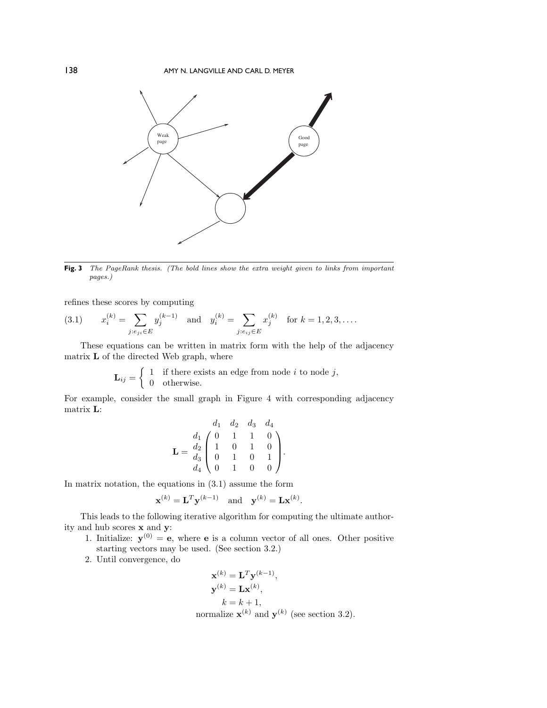

**Fig. 3** The PageRank thesis. (The bold lines show the extra weight given to links from important pages.)

refines these scores by computing

(3.1) 
$$
x_i^{(k)} = \sum_{j:e_{ji} \in E} y_j^{(k-1)}
$$
 and  $y_i^{(k)} = \sum_{j:e_{ij} \in E} x_j^{(k)}$  for  $k = 1, 2, 3, ...$ 

These equations can be written in matrix form with the help of the adjacency matrix **L** of the directed Web graph, where

$$
\mathbf{L}_{ij} = \begin{cases} 1 & \text{if there exists an edge from node } i \text{ to node } j, \\ 0 & \text{otherwise.} \end{cases}
$$

For example, consider the small graph in Figure 4 with corresponding adjacency matrix **L**:

$$
\mathbf{L} = \begin{pmatrix} d_1 & d_2 & d_3 & d_4 \\ d_1 & 0 & 1 & 1 & 0 \\ d_2 & 1 & 0 & 1 & 0 \\ d_3 & 0 & 1 & 0 & 1 \\ d_4 & 0 & 1 & 0 & 0 \end{pmatrix}.
$$

In matrix notation, the equations in (3.1) assume the form

$$
\mathbf{x}^{(k)} = \mathbf{L}^T \mathbf{y}^{(k-1)} \quad \text{and} \quad \mathbf{y}^{(k)} = \mathbf{L} \mathbf{x}^{(k)}.
$$

This leads to the following iterative algorithm for computing the ultimate authority and hub scores **x** and **y**:

- 1. Initialize:  $y^{(0)} = e$ , where **e** is a column vector of all ones. Other positive starting vectors may be used. (See section 3.2.)
- 2. Until convergence, do

$$
\mathbf{x}^{(k)} = \mathbf{L}^T \mathbf{y}^{(k-1)},
$$
  
\n
$$
\mathbf{y}^{(k)} = \mathbf{L} \mathbf{x}^{(k)},
$$
  
\n
$$
k = k + 1,
$$
  
\nnormalize  $\mathbf{x}^{(k)}$  and  $\mathbf{y}^{(k)}$  (see section 3.2).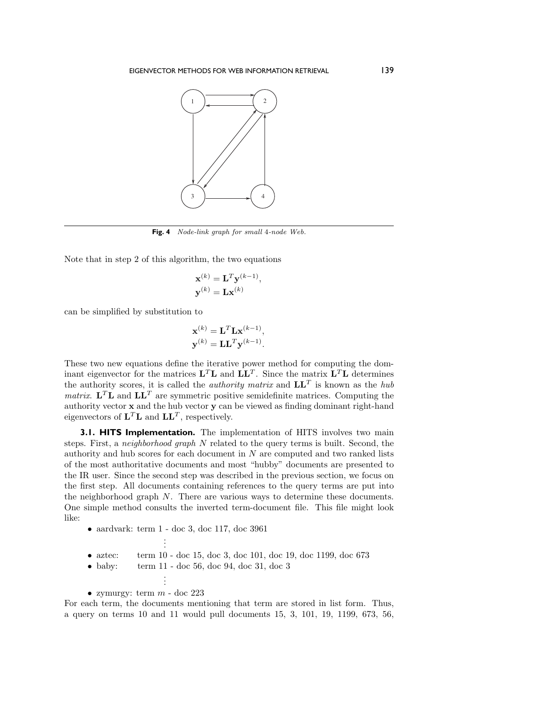

**Fig. 4** Node-link graph for small 4-node Web.

Note that in step 2 of this algorithm, the two equations

$$
\mathbf{x}^{(k)} = \mathbf{L}^T \mathbf{y}^{(k-1)},
$$

$$
\mathbf{y}^{(k)} = \mathbf{L} \mathbf{x}^{(k)}
$$

can be simplified by substitution to

$$
\mathbf{x}^{(k)} = \mathbf{L}^T \mathbf{L} \mathbf{x}^{(k-1)},
$$

$$
\mathbf{y}^{(k)} = \mathbf{L} \mathbf{L}^T \mathbf{y}^{(k-1)}.
$$

These two new equations define the iterative power method for computing the dominant eigenvector for the matrices  $\mathbf{L}^T\mathbf{L}$  and  $\mathbf{L}\mathbf{L}^T$ . Since the matrix  $\mathbf{L}^T\mathbf{L}$  determines the authority scores, it is called the *authority matrix* and  $LL^T$  is known as the hub *matrix.*  $\mathbf{L}^T\mathbf{L}$  and  $\mathbf{L}\mathbf{L}^T$  are symmetric positive semidefinite matrices. Computing the authority vector **x** and the hub vector **y** can be viewed as finding dominant right-hand eigenvectors of  $\mathbf{L}^T\mathbf{L}$  and  $\mathbf{L}\mathbf{L}^T$ , respectively.

**3.1. HITS Implementation.** The implementation of HITS involves two main steps. First, a neighborhood graph N related to the query terms is built. Second, the authority and hub scores for each document in  $N$  are computed and two ranked lists of the most authoritative documents and most "hubby" documents are presented to the IR user. Since the second step was described in the previous section, we focus on the first step. All documents containing references to the query terms are put into the neighborhood graph N. There are various ways to determine these documents. One simple method consults the inverted term-document file. This file might look like:

• aardvark: term 1 - doc 3, doc 117, doc 3961

. .

. .

. • aztec: term 10 - doc 15, doc 3, doc 101, doc 19, doc 1199, doc 673

- baby: term  $11$  doc 56, doc 94, doc 31, doc 3
- zymurgy: term  $m$  doc 223

For each term, the documents mentioning that term are stored in list form. Thus, a query on terms 10 and 11 would pull documents 15, 3, 101, 19, 1199, 673, 56,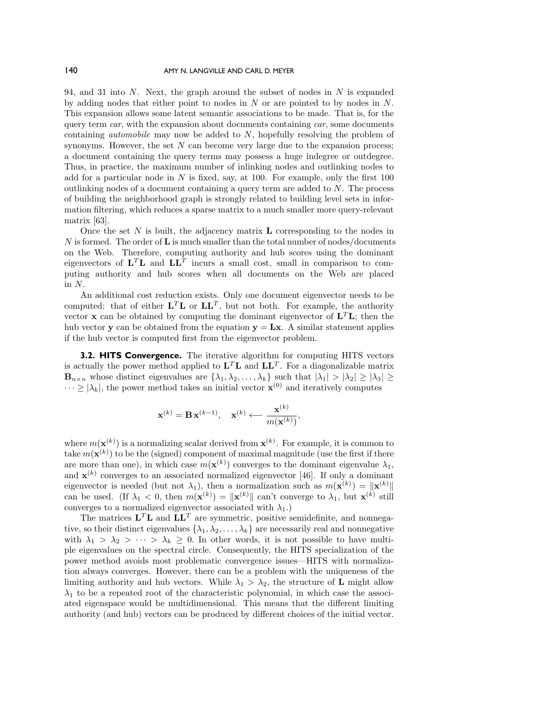94, and 31 into N. Next, the graph around the subset of nodes in N is expanded by adding nodes that either point to nodes in  $N$  or are pointed to by nodes in  $N$ . This expansion allows some latent semantic associations to be made. That is, for the query term  $car$ , with the expansion about documents containing  $car$ , some documents containing automobile may now be added to N, hopefully resolving the problem of synonyms. However, the set  $N$  can become very large due to the expansion process; a document containing the query terms may possess a huge indegree or outdegree. Thus, in practice, the maximum number of inlinking nodes and outlinking nodes to add for a particular node in  $N$  is fixed, say, at 100. For example, only the first 100 outlinking nodes of a document containing a query term are added to N. The process of building the neighborhood graph is strongly related to building level sets in information filtering, which reduces a sparse matrix to a much smaller more query-relevant matrix [63].

Once the set N is built, the adjacency matrix **L** corresponding to the nodes in N is formed. The order of **L** is much smaller than the total number of nodes/documents on the Web. Therefore, computing authority and hub scores using the dominant eigenvectors of  $L^T L$  and  $L L^T$  incurs a small cost, small in comparison to computing authority and hub scores when all documents on the Web are placed in N.

An additional cost reduction exists. Only one document eigenvector needs to be computed: that of either  $\mathbf{L}^T\mathbf{L}$  or  $\mathbf{L}\mathbf{L}^T$ , but not both. For example, the authority vector **x** can be obtained by computing the dominant eigenvector of  $L^T L$ ; then the hub vector **y** can be obtained from the equation  $y = Lx$ . A similar statement applies if the hub vector is computed first from the eigenvector problem.

**3.2. HITS Convergence.** The iterative algorithm for computing HITS vectors is actually the power method applied to  $\mathbf{L}^T\mathbf{L}$  and  $\mathbf{L}\mathbf{L}^T$ . For a diagonalizable matrix  $\mathbf{B}_{n\times n}$  whose distinct eigenvalues are  $\{\lambda_1, \lambda_2, \ldots, \lambda_k\}$  such that  $|\lambda_1| > |\lambda_2| \geq |\lambda_3| \geq$  $\cdots \geq |\lambda_k|$ , the power method takes an initial vector  $\mathbf{x}^{(0)}$  and iteratively computes

$$
\mathbf{x}^{(k)} = \mathbf{B} \mathbf{x}^{(k-1)}, \quad \mathbf{x}^{(k)} \longleftarrow \frac{\mathbf{x}^{(k)}}{m(\mathbf{x}^{(k)})},
$$

where  $m(\mathbf{x}^{(k)})$  is a normalizing scalar derived from  $\mathbf{x}^{(k)}$ . For example, it is common to take  $m(\mathbf{x}^{(k)})$  to be the (signed) component of maximal magnitude (use the first if there are more than one), in which case  $m(\mathbf{x}^{(k)})$  converges to the dominant eigenvalue  $\lambda_1$ , and  $\mathbf{x}^{(k)}$  converges to an associated normalized eigenvector [46]. If only a dominant eigenvector is needed (but not  $\lambda_1$ ), then a normalization such as  $m(\mathbf{x}^{(k)}) = ||\mathbf{x}^{(k)}||$ can be used. (If  $\lambda_1 < 0$ , then  $m(\mathbf{x}^{(k)}) = ||\mathbf{x}^{(k)}||$  can't converge to  $\lambda_1$ , but  $\mathbf{x}^{(k)}$  still converges to a normalized eigenvector associated with  $\lambda_1$ .)

The matrices  $\mathbf{L}^T\mathbf{L}$  and  $\mathbf{L}\mathbf{L}^T$  are symmetric, positive semidefinite, and nonnegative, so their distinct eigenvalues  $\{\lambda_1, \lambda_2, \ldots, \lambda_k\}$  are necessarily real and nonnegative with  $\lambda_1 > \lambda_2 > \cdots > \lambda_k \geq 0$ . In other words, it is not possible to have multiple eigenvalues on the spectral circle. Consequently, the HITS specialization of the power method avoids most problematic convergence issues—HITS with normalization always converges. However, there can be a problem with the uniqueness of the limiting authority and hub vectors. While  $\lambda_1 > \lambda_2$ , the structure of **L** might allow  $\lambda_1$  to be a repeated root of the characteristic polynomial, in which case the associated eigenspace would be multidimensional. This means that the different limiting authority (and hub) vectors can be produced by different choices of the initial vector.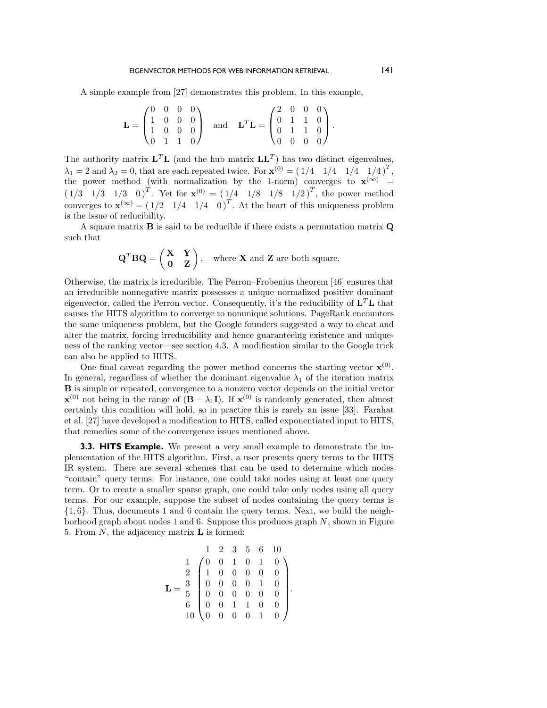A simple example from [27] demonstrates this problem. In this example,

$$
\mathbf{L} = \begin{pmatrix} 0 & 0 & 0 & 0 \\ 1 & 0 & 0 & 0 \\ 1 & 0 & 0 & 0 \\ 0 & 1 & 1 & 0 \end{pmatrix} \text{ and } \mathbf{L}^T \mathbf{L} = \begin{pmatrix} 2 & 0 & 0 & 0 \\ 0 & 1 & 1 & 0 \\ 0 & 1 & 1 & 0 \\ 0 & 0 & 0 & 0 \end{pmatrix}.
$$

The authority matrix  $\mathbf{L}^T\mathbf{L}$  (and the hub matrix  $\mathbf{L}\mathbf{L}^T$ ) has two distinct eigenvalues,  $\lambda_1 = 2$  and  $\lambda_2 = 0$ , that are each repeated twice. For  $\mathbf{x}^{(0)} = (1/4 \quad 1/4 \quad 1/4 \quad 1/4)^T$ , the power method (with normalization by the 1-norm) converges to  $\mathbf{x}^{(\infty)}$  =  $(1/3 \t1/3 \t1/3 \t1/3 \t0)^T$ . Yet for  $\mathbf{x}^{(0)} = (1/4 \t1/8 \t1/8 \t1/2)^T$ , the power method converges to  $\mathbf{x}^{(\infty)} = (1/2 \quad 1/4 \quad 1/4 \quad 0)^T$ . At the heart of this uniqueness problem is the issue of reducibility.

A square matrix **B** is said to be reducible if there exists a permutation matrix **Q** such that

$$
\mathbf{Q}^T \mathbf{B} \mathbf{Q} = \begin{pmatrix} \mathbf{X} & \mathbf{Y} \\ \mathbf{0} & \mathbf{Z} \end{pmatrix}, \text{ where } \mathbf{X} \text{ and } \mathbf{Z} \text{ are both square.}
$$

Otherwise, the matrix is irreducible. The Perron–Frobenius theorem [46] ensures that an irreducible nonnegative matrix possesses a unique normalized positive dominant eigenvector, called the Perron vector. Consequently, it's the reducibility of  $L^T L$  that causes the HITS algorithm to converge to nonunique solutions. PageRank encounters the same uniqueness problem, but the Google founders suggested a way to cheat and alter the matrix, forcing irreducibility and hence guaranteeing existence and uniqueness of the ranking vector—see section 4.3. A modification similar to the Google trick can also be applied to HITS.

One final caveat regarding the power method concerns the starting vector  $\mathbf{x}^{(0)}$ . In general, regardless of whether the dominant eigenvalue  $\lambda_1$  of the iteration matrix **B** is simple or repeated, convergence to a nonzero vector depends on the initial vector **x**<sup>(0)</sup> not being in the range of  $(\mathbf{B} - \lambda_1 \mathbf{I})$ . If **x**<sup>(0)</sup> is randomly generated, then almost certainly this condition will hold, so in practice this is rarely an issue [33]. Farahat et al. [27] have developed a modification to HITS, called exponentiated input to HITS, that remedies some of the convergence issues mentioned above.

**3.3. HITS Example.** We present a very small example to demonstrate the implementation of the HITS algorithm. First, a user presents query terms to the HITS IR system. There are several schemes that can be used to determine which nodes "contain" query terms. For instance, one could take nodes using at least one query term. Or to create a smaller sparse graph, one could take only nodes using all query terms. For our example, suppose the subset of nodes containing the query terms is  ${1, 6}$ . Thus, documents 1 and 6 contain the query terms. Next, we build the neighborhood graph about nodes 1 and 6. Suppose this produces graph  $N$ , shown in Figure 5. From N, the adjacency matrix **L** is formed:

$$
\mathbf{L} = \begin{bmatrix} 1 & 2 & 3 & 5 & 6 & 10 \\ 1 & 0 & 0 & 1 & 0 & 1 & 0 \\ 2 & 1 & 0 & 0 & 0 & 0 & 0 \\ 0 & 0 & 0 & 0 & 1 & 0 & 0 \\ 0 & 0 & 0 & 0 & 0 & 0 & 0 \\ 6 & 0 & 0 & 1 & 1 & 0 & 0 \\ 10 & 0 & 0 & 0 & 0 & 1 & 0 \end{bmatrix}.
$$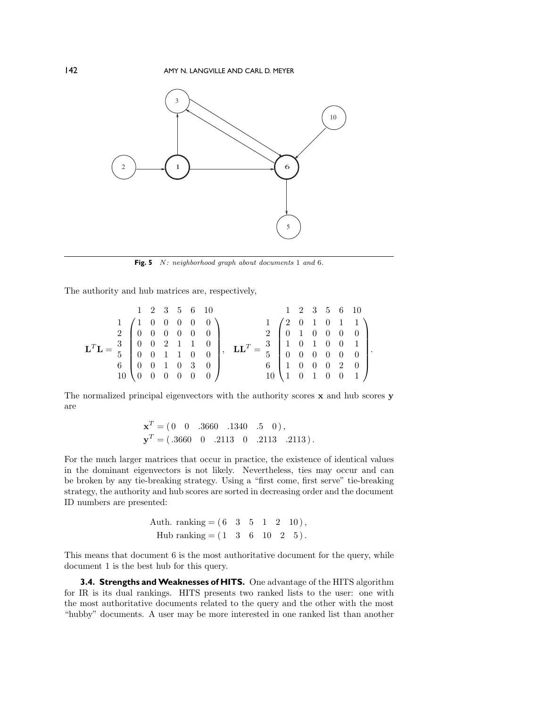

**Fig. 5** N: neighborhood graph about documents 1 and 6.

The authority and hub matrices are, respectively,

$$
\mathbf{L}^T \mathbf{L} = \begin{bmatrix} 1 & 2 & 3 & 5 & 6 & 10 \\ 1 & 1 & 0 & 0 & 0 & 0 & 0 \\ 2 & 0 & 0 & 0 & 0 & 0 & 0 \\ 0 & 0 & 2 & 1 & 1 & 0 & 0 \\ 0 & 0 & 1 & 1 & 0 & 0 & 0 \\ 6 & 0 & 0 & 1 & 0 & 3 & 0 \\ 10 & 0 & 0 & 0 & 0 & 0 & 0 \end{bmatrix}, \quad \mathbf{L}\mathbf{L}^T = \begin{bmatrix} 1 & 2 & 3 & 5 & 6 & 10 \\ 2 & 0 & 1 & 0 & 1 & 1 \\ 1 & 0 & 1 & 0 & 0 & 0 \\ 0 & 0 & 0 & 0 & 0 & 0 \\ 1 & 0 & 0 & 0 & 2 & 0 \\ 1 & 0 & 1 & 0 & 0 & 1 \end{bmatrix}.
$$

The normalized principal eigenvectors with the authority scores **x** and hub scores **y** are

$$
\mathbf{x}^T = (0 \quad 0 \quad .3660 \quad .1340 \quad .5 \quad 0),
$$
  

$$
\mathbf{y}^T = (.3660 \quad 0 \quad .2113 \quad 0 \quad .2113 \quad .2113).
$$

For the much larger matrices that occur in practice, the existence of identical values in the dominant eigenvectors is not likely. Nevertheless, ties may occur and can be broken by any tie-breaking strategy. Using a "first come, first serve" tie-breaking strategy, the authority and hub scores are sorted in decreasing order and the document ID numbers are presented:

Auth. ranking = ( 6 3 5 1 2 10 ), Hub ranking = ( 1 3 6 10 2 5 ).

This means that document 6 is the most authoritative document for the query, while document 1 is the best hub for this query.

**3.4. Strengths and Weaknesses of HITS.** One advantage of the HITS algorithm for IR is its dual rankings. HITS presents two ranked lists to the user: one with the most authoritative documents related to the query and the other with the most "hubby" documents. A user may be more interested in one ranked list than another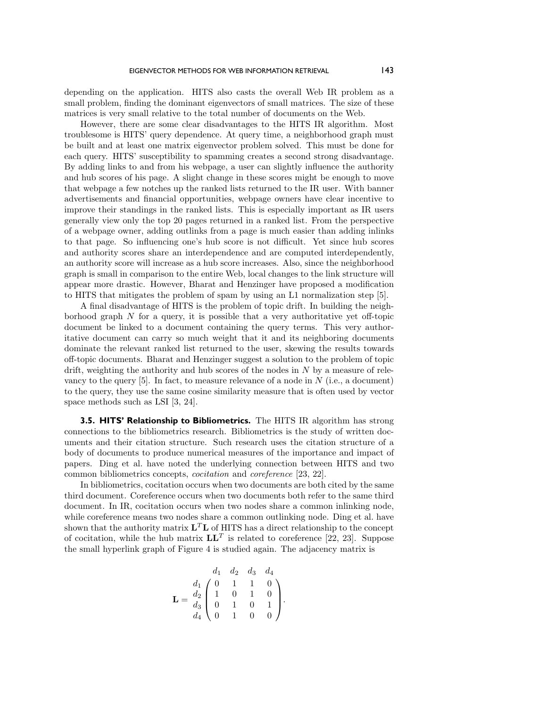depending on the application. HITS also casts the overall Web IR problem as a small problem, finding the dominant eigenvectors of small matrices. The size of these matrices is very small relative to the total number of documents on the Web.

However, there are some clear disadvantages to the HITS IR algorithm. Most troublesome is HITS' query dependence. At query time, a neighborhood graph must be built and at least one matrix eigenvector problem solved. This must be done for each query. HITS' susceptibility to spamming creates a second strong disadvantage. By adding links to and from his webpage, a user can slightly influence the authority and hub scores of his page. A slight change in these scores might be enough to move that webpage a few notches up the ranked lists returned to the IR user. With banner advertisements and financial opportunities, webpage owners have clear incentive to improve their standings in the ranked lists. This is especially important as IR users generally view only the top 20 pages returned in a ranked list. From the perspective of a webpage owner, adding outlinks from a page is much easier than adding inlinks to that page. So influencing one's hub score is not difficult. Yet since hub scores and authority scores share an interdependence and are computed interdependently, an authority score will increase as a hub score increases. Also, since the neighborhood graph is small in comparison to the entire Web, local changes to the link structure will appear more drastic. However, Bharat and Henzinger have proposed a modification to HITS that mitigates the problem of spam by using an L1 normalization step [5].

A final disadvantage of HITS is the problem of topic drift. In building the neighborhood graph  $N$  for a query, it is possible that a very authoritative yet off-topic document be linked to a document containing the query terms. This very authoritative document can carry so much weight that it and its neighboring documents dominate the relevant ranked list returned to the user, skewing the results towards off-topic documents. Bharat and Henzinger suggest a solution to the problem of topic drift, weighting the authority and hub scores of the nodes in  $N$  by a measure of relevancy to the query [5]. In fact, to measure relevance of a node in  $N$  (i.e., a document) to the query, they use the same cosine similarity measure that is often used by vector space methods such as LSI [3, 24].

**3.5. HITS' Relationship to Bibliometrics.** The HITS IR algorithm has strong connections to the bibliometrics research. Bibliometrics is the study of written documents and their citation structure. Such research uses the citation structure of a body of documents to produce numerical measures of the importance and impact of papers. Ding et al. have noted the underlying connection between HITS and two common bibliometrics concepts, cocitation and coreference [23, 22].

In bibliometrics, cocitation occurs when two documents are both cited by the same third document. Coreference occurs when two documents both refer to the same third document. In IR, cocitation occurs when two nodes share a common inlinking node, while coreference means two nodes share a common outlinking node. Ding et al. have shown that the authority matrix  $L^T L$  of HITS has a direct relationship to the concept of cocitation, while the hub matrix  $LL<sup>T</sup>$  is related to coreference [22, 23]. Suppose the small hyperlink graph of Figure 4 is studied again. The adjacency matrix is

$$
\mathbf{L} = \begin{pmatrix} d_1 & d_2 & d_3 & d_4 \\ d_1 & 0 & 1 & 1 & 0 \\ d_2 & 1 & 0 & 1 & 0 \\ d_3 & 0 & 1 & 0 & 1 \\ d_4 & 0 & 1 & 0 & 0 \end{pmatrix}.
$$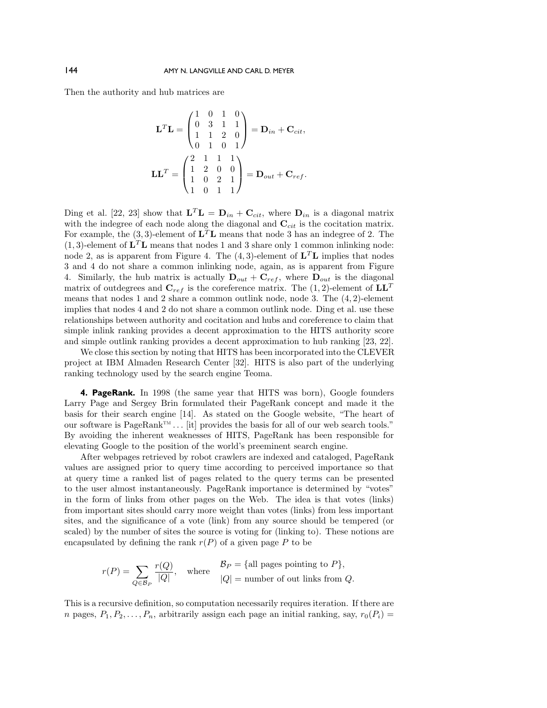Then the authority and hub matrices are

$$
\mathbf{L}^T \mathbf{L} = \begin{pmatrix} 1 & 0 & 1 & 0 \\ 0 & 3 & 1 & 1 \\ 1 & 1 & 2 & 0 \\ 0 & 1 & 0 & 1 \end{pmatrix} = \mathbf{D}_{in} + \mathbf{C}_{cit},
$$

$$
\mathbf{L}\mathbf{L}^T = \begin{pmatrix} 2 & 1 & 1 & 1 \\ 1 & 2 & 0 & 0 \\ 1 & 0 & 2 & 1 \\ 1 & 0 & 1 & 1 \end{pmatrix} = \mathbf{D}_{out} + \mathbf{C}_{ref}.
$$

Ding et al. [22, 23] show that  $\mathbf{L}^T \mathbf{L} = \mathbf{D}_{in} + \mathbf{C}_{cit}$ , where  $\mathbf{D}_{in}$  is a diagonal matrix with the indegree of each node along the diagonal and  $\mathbf{C}_{cit}$  is the cocitation matrix. For example, the  $(3,3)$ -element of  $L^T L$  means that node 3 has an indegree of 2. The  $(1, 3)$ -element of  $\mathbf{L}^T\mathbf{L}$  means that nodes 1 and 3 share only 1 common inlinking node: node 2, as is apparent from Figure 4. The  $(4, 3)$ -element of  $L^T L$  implies that nodes 3 and 4 do not share a common inlinking node, again, as is apparent from Figure 4. Similarly, the hub matrix is actually  $D_{out} + C_{ref}$ , where  $D_{out}$  is the diagonal matrix of outdegrees and  $\mathbf{C}_{ref}$  is the coreference matrix. The  $(1, 2)$ -element of  $\mathbf{LL}^T$ means that nodes 1 and 2 share a common outlink node, node 3. The (4, 2)-element implies that nodes 4 and 2 do not share a common outlink node. Ding et al. use these relationships between authority and cocitation and hubs and coreference to claim that simple inlink ranking provides a decent approximation to the HITS authority score and simple outlink ranking provides a decent approximation to hub ranking [23, 22].

We close this section by noting that HITS has been incorporated into the CLEVER project at IBM Almaden Research Center [32]. HITS is also part of the underlying ranking technology used by the search engine Teoma.

**4. PageRank.** In 1998 (the same year that HITS was born), Google founders Larry Page and Sergey Brin formulated their PageRank concept and made it the basis for their search engine [14]. As stated on the Google website, "The heart of our software is  $PageRank^{TM} \dots$  [it] provides the basis for all of our web search tools." By avoiding the inherent weaknesses of HITS, PageRank has been responsible for elevating Google to the position of the world's preeminent search engine.

After webpages retrieved by robot crawlers are indexed and cataloged, PageRank values are assigned prior to query time according to perceived importance so that at query time a ranked list of pages related to the query terms can be presented to the user almost instantaneously. PageRank importance is determined by "votes" in the form of links from other pages on the Web. The idea is that votes (links) from important sites should carry more weight than votes (links) from less important sites, and the significance of a vote (link) from any source should be tempered (or scaled) by the number of sites the source is voting for (linking to). These notions are encapsulated by defining the rank  $r(P)$  of a given page P to be

$$
r(P) = \sum_{Q \in \mathcal{B}_P} \frac{r(Q)}{|Q|}, \quad \text{where} \quad \frac{\mathcal{B}_P = \{\text{all pages pointing to } P\}}{|Q| = \text{number of out links from } Q.
$$

This is a recursive definition, so computation necessarily requires iteration. If there are n pages,  $P_1, P_2, \ldots, P_n$ , arbitrarily assign each page an initial ranking, say,  $r_0(P_i)$  =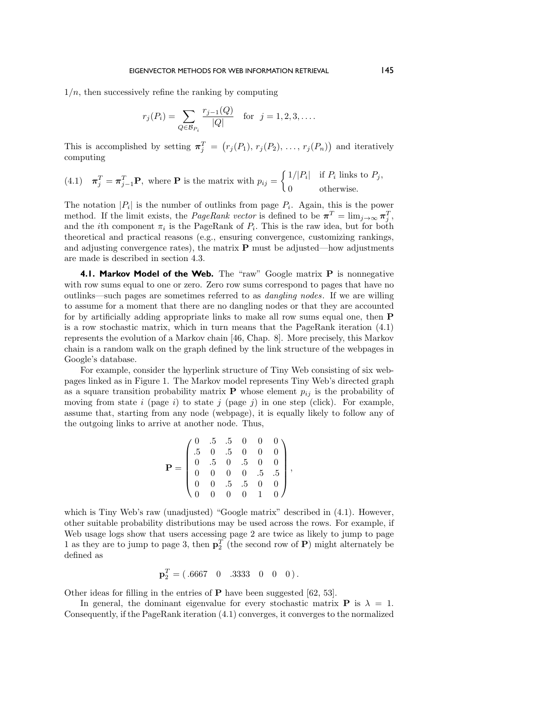$1/n$ , then successively refine the ranking by computing

$$
r_j(P_i) = \sum_{Q \in \mathcal{B}_{P_i}} \frac{r_{j-1}(Q)}{|Q|}
$$
 for  $j = 1, 2, 3, ....$ 

This is accomplished by setting  $\pi_j^T = (r_j(P_1), r_j(P_2), \ldots, r_j(P_n))$  and iteratively computing

(4.1)  $\boldsymbol{\pi}_j^T = \boldsymbol{\pi}_{j-1}^T \mathbf{P}$ , where **P** is the matrix with  $p_{ij} = \begin{cases} 1/|P_i| & \text{if } P_i \text{ links to } P_j, \\ 0 & \text{otherwise.} \end{cases}$ 

The notation  $|P_i|$  is the number of outlinks from page  $P_i$ . Again, this is the power method. If the limit exists, the *PageRank vector* is defined to be  $\pi^T = \lim_{j \to \infty} \pi_j^T$ , and the *i*th component  $\pi_i$  is the PageRank of  $P_i$ . This is the raw idea, but for both theoretical and practical reasons (e.g., ensuring convergence, customizing rankings, and adjusting convergence rates), the matrix  $P$  must be adjusted—how adjustments are made is described in section 4.3.

**4.1. Markov Model of the Web.** The "raw" Google matrix **P** is nonnegative with row sums equal to one or zero. Zero row sums correspond to pages that have no outlinks—such pages are sometimes referred to as dangling nodes. If we are willing to assume for a moment that there are no dangling nodes or that they are accounted for by artificially adding appropriate links to make all row sums equal one, then **P** is a row stochastic matrix, which in turn means that the PageRank iteration (4.1) represents the evolution of a Markov chain [46, Chap. 8]. More precisely, this Markov chain is a random walk on the graph defined by the link structure of the webpages in Google's database.

For example, consider the hyperlink structure of Tiny Web consisting of six webpages linked as in Figure 1. The Markov model represents Tiny Web's directed graph as a square transition probability matrix **P** whose element  $p_{ij}$  is the probability of moving from state i (page i) to state j (page j) in one step (click). For example, assume that, starting from any node (webpage), it is equally likely to follow any of the outgoing links to arrive at another node. Thus,

$$
\mathbf{P} = \begin{pmatrix} 0 & .5 & .5 & 0 & 0 & 0 \\ .5 & 0 & .5 & 0 & 0 & 0 \\ 0 & .5 & 0 & .5 & 0 & 0 \\ 0 & 0 & 0 & 0 & .5 & .5 \\ 0 & 0 & .5 & .5 & 0 & 0 \\ 0 & 0 & 0 & 0 & 1 & 0 \end{pmatrix},
$$

which is Tiny Web's raw (unadjusted) "Google matrix" described in  $(4.1)$ . However, other suitable probability distributions may be used across the rows. For example, if Web usage logs show that users accessing page 2 are twice as likely to jump to page 1 as they are to jump to page 3, then  $\mathbf{p}_2^T$  (the second row of **P**) might alternately be defined as

$$
\mathbf{p}_2^T = ( .6667 \quad 0 \quad .3333 \quad 0 \quad 0 \quad 0 ).
$$

Other ideas for filling in the entries of **P** have been suggested [62, 53].

In general, the dominant eigenvalue for every stochastic matrix **P** is  $\lambda = 1$ . Consequently, if the PageRank iteration (4.1) converges, it converges to the normalized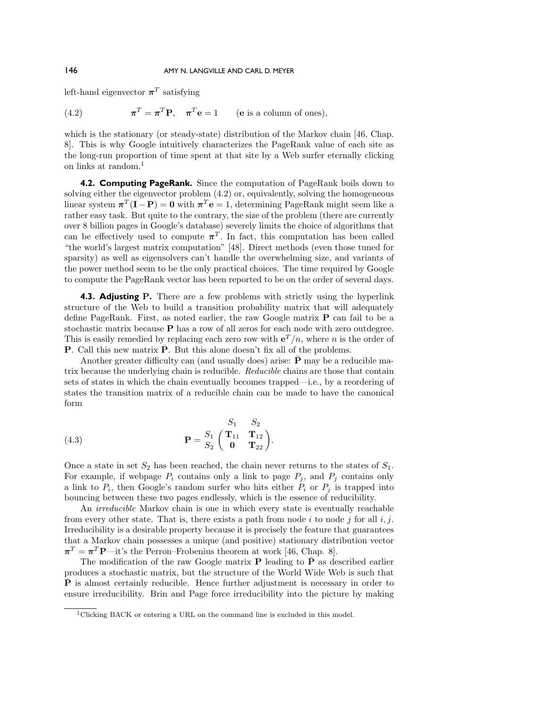left-hand eigenvector  $\pi^T$  satisfying

(4.2) 
$$
\boldsymbol{\pi}^T = \boldsymbol{\pi}^T \mathbf{P}, \quad \boldsymbol{\pi}^T \mathbf{e} = 1 \qquad \text{(e is a column of ones)},
$$

which is the stationary (or steady-state) distribution of the Markov chain [46, Chap. 8]. This is why Google intuitively characterizes the PageRank value of each site as the long-run proportion of time spent at that site by a Web surfer eternally clicking on links at random.<sup>1</sup>

**4.2. Computing PageRank.** Since the computation of PageRank boils down to solving either the eigenvector problem (4.2) or, equivalently, solving the homogeneous linear system  $\pi^T(\mathbf{I} - \mathbf{P}) = \mathbf{0}$  with  $\pi^T \mathbf{e} = 1$ , determining PageRank might seem like a rather easy task. But quite to the contrary, the size of the problem (there are currently over 8 billion pages in Google's database) severely limits the choice of algorithms that can be effectively used to compute  $\pi^{T}$ . In fact, this computation has been called "the world's largest matrix computation" [48]. Direct methods (even those tuned for sparsity) as well as eigensolvers can't handle the overwhelming size, and variants of the power method seem to be the only practical choices. The time required by Google to compute the PageRank vector has been reported to be on the order of several days.

**4.3. Adjusting P.** There are a few problems with strictly using the hyperlink structure of the Web to build a transition probability matrix that will adequately define PageRank. First, as noted earlier, the raw Google matrix **P** can fail to be a stochastic matrix because **P** has a row of all zeros for each node with zero outdegree. This is easily remedied by replacing each zero row with  $e^T/n$ , where n is the order of **P**. Call this new matrix  $\overline{P}$ . But this alone doesn't fix all of the problems.

Another greater difficulty can (and usually does) arise:  $P$  may be a reducible matrix because the underlying chain is reducible. Reducible chains are those that contain sets of states in which the chain eventually becomes trapped—i.e., by a reordering of states the transition matrix of a reducible chain can be made to have the canonical form

(4.3) 
$$
\mathbf{P} = \frac{S_1}{S_2} \begin{pmatrix} \mathbf{T}_{11} & \mathbf{T}_{12} \\ \mathbf{0} & \mathbf{T}_{22} \end{pmatrix}.
$$

Once a state in set  $S_2$  has been reached, the chain never returns to the states of  $S_1$ . For example, if we bage  $P_i$  contains only a link to page  $P_j$ , and  $P_j$  contains only a link to  $P_i$ , then Google's random surfer who hits either  $P_i$  or  $P_j$  is trapped into bouncing between these two pages endlessly, which is the essence of reducibility.

An *irreducible* Markov chain is one in which every state is eventually reachable from every other state. That is, there exists a path from node i to node j for all  $i, j$ . Irreducibility is a desirable property because it is precisely the feature that guarantees that a Markov chain possesses a unique (and positive) stationary distribution vector  $\pi^T = \pi^T P$ —it's the Perron–Frobenius theorem at work [46, Chap. 8].

The modification of the raw Google matrix  $P$  leading to  $\bar{P}$  as described earlier produces a stochastic matrix, but the structure of the World Wide Web is such that **P** is almost certainly reducible. Hence further adjustment is necessary in order to ensure irreducibility. Brin and Page force irreducibility into the picture by making

<sup>&</sup>lt;sup>1</sup>Clicking BACK or entering a URL on the command line is excluded in this model.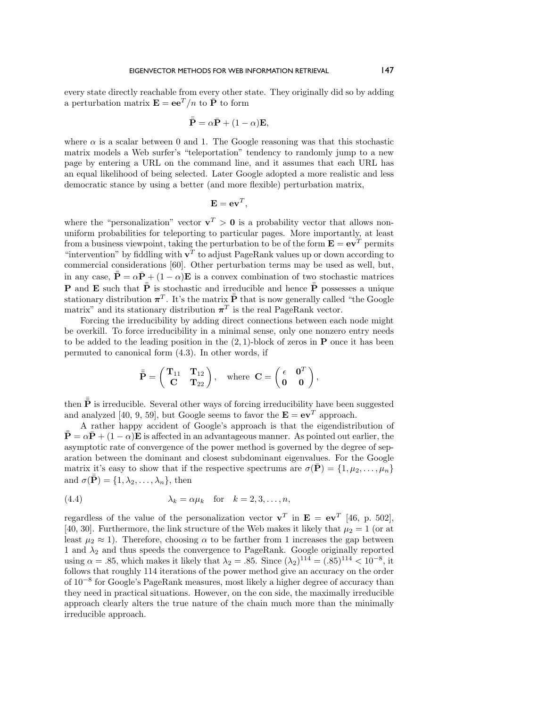every state directly reachable from every other state. They originally did so by adding a perturbation matrix  $\mathbf{E} = e^T/n$  to  $\bar{\mathbf{P}}$  to form

$$
\bar{\bar{\mathbf{P}}} = \alpha \bar{\mathbf{P}} + (1 - \alpha) \mathbf{E},
$$

where  $\alpha$  is a scalar between 0 and 1. The Google reasoning was that this stochastic matrix models a Web surfer's "teleportation" tendency to randomly jump to a new page by entering a URL on the command line, and it assumes that each URL has an equal likelihood of being selected. Later Google adopted a more realistic and less democratic stance by using a better (and more flexible) perturbation matrix,

$$
\mathbf{E} = \mathbf{e}\mathbf{v}^T,
$$

where the "personalization" vector  $\mathbf{v}^T > \mathbf{0}$  is a probability vector that allows nonuniform probabilities for teleporting to particular pages. More importantly, at least from a business viewpoint, taking the perturbation to be of the form  $\mathbf{E} = \mathbf{e}\mathbf{v}^T$  permits "intervention" by fiddling with  $\mathbf{v}^T$  to adjust PageRank values up or down according to commercial considerations [60]. Other perturbation terms may be used as well, but, in any case,  $\bar{\mathbf{P}} = \alpha \bar{\mathbf{P}} + (1 - \alpha)\mathbf{E}$  is a convex combination of two stochastic matrices **P** and **E** such that  $\bar{\mathbf{P}}$  is stochastic and irreducible and hence  $\bar{\mathbf{P}}$  possesses a unique stationary distribution  $\pi^T$ . It's the matrix  $\bar{\mathbf{P}}$  that is now generally called "the Google" matrix" and its stationary distribution  $\pi^T$  is the real PageRank vector.

Forcing the irreducibility by adding direct connections between each node might be overkill. To force irreducibility in a minimal sense, only one nonzero entry needs to be added to the leading position in the (2, 1)-block of zeros in **P** once it has been permuted to canonical form (4.3). In other words, if

$$
\bar{\bar{\mathbf{P}}} = \begin{pmatrix} \mathbf{T}_{11} & \mathbf{T}_{12} \\ \mathbf{C} & \mathbf{T}_{22} \end{pmatrix}, \text{ where } \mathbf{C} = \begin{pmatrix} \epsilon & \mathbf{0}^T \\ \mathbf{0} & \mathbf{0} \end{pmatrix},
$$

then  $\bar{\bar{P}}$  is irreducible. Several other ways of forcing irreducibility have been suggested and analyzed [40, 9, 59], but Google seems to favor the  $\mathbf{E} = \mathbf{e}\mathbf{v}^T$  approach.

A rather happy accident of Google's approach is that the eigendistribution of  $\mathbf{\bar{P}}=\alpha\mathbf{\bar{P}}+(1-\alpha)\mathbf{E}$  is affected in an advantageous manner. As pointed out earlier, the asymptotic rate of convergence of the power method is governed by the degree of separation between the dominant and closest subdominant eigenvalues. For the Google matrix it's easy to show that if the respective spectrums are  $\sigma(\bar{P}) = \{1, \mu_2, \ldots, \mu_n\}$ and  $\sigma(\bar{\mathbf{P}}) = \{1, \lambda_2, \ldots, \lambda_n\}$ , then

(4.4) 
$$
\lambda_k = \alpha \mu_k \quad \text{for} \quad k = 2, 3, \dots, n,
$$

regardless of the value of the personalization vector  $\mathbf{v}^T$  in  $\mathbf{E} = \mathbf{e}\mathbf{v}^T$  [46, p. 502], [40, 30]. Furthermore, the link structure of the Web makes it likely that  $\mu_2 = 1$  (or at least  $\mu_2 \approx 1$ ). Therefore, choosing  $\alpha$  to be farther from 1 increases the gap between 1 and  $\lambda_2$  and thus speeds the convergence to PageRank. Google originally reported using  $\alpha = .85$ , which makes it likely that  $\lambda_2 = .85$ . Since  $(\lambda_2)^{114} = (.85)^{114} < 10^{-8}$ , it follows that roughly 114 iterations of the power method give an accuracy on the order of 10<sup>−</sup><sup>8</sup> for Google's PageRank measures, most likely a higher degree of accuracy than they need in practical situations. However, on the con side, the maximally irreducible approach clearly alters the true nature of the chain much more than the minimally irreducible approach.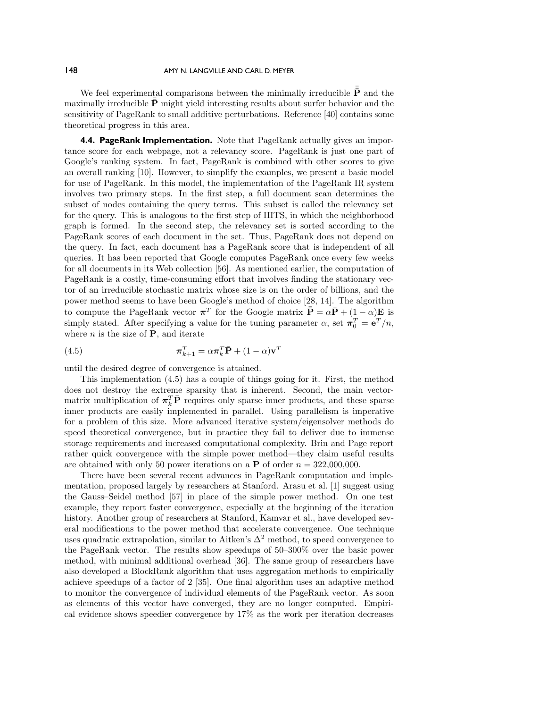We feel experimental comparisons between the minimally irreducible  $\bar{\bar{P}}$  and the maximally irreducible  $\bar{P}$  might yield interesting results about surfer behavior and the sensitivity of PageRank to small additive perturbations. Reference [40] contains some theoretical progress in this area.

**4.4. PageRank Implementation.** Note that PageRank actually gives an importance score for each webpage, not a relevancy score. PageRank is just one part of Google's ranking system. In fact, PageRank is combined with other scores to give an overall ranking [10]. However, to simplify the examples, we present a basic model for use of PageRank. In this model, the implementation of the PageRank IR system involves two primary steps. In the first step, a full document scan determines the subset of nodes containing the query terms. This subset is called the relevancy set for the query. This is analogous to the first step of HITS, in which the neighborhood graph is formed. In the second step, the relevancy set is sorted according to the PageRank scores of each document in the set. Thus, PageRank does not depend on the query. In fact, each document has a PageRank score that is independent of all queries. It has been reported that Google computes PageRank once every few weeks for all documents in its Web collection [56]. As mentioned earlier, the computation of PageRank is a costly, time-consuming effort that involves finding the stationary vector of an irreducible stochastic matrix whose size is on the order of billions, and the power method seems to have been Google's method of choice [28, 14]. The algorithm to compute the PageRank vector  $\pi^T$  for the Google matrix  $\overline{\overline{P}} = \alpha \overline{P} + (1 - \alpha)E$  is simply stated. After specifying a value for the tuning parameter  $\alpha$ , set  $\pi_0^T = \mathbf{e}^T/n$ , where  $n$  is the size of  $P$ , and iterate

(4.5) 
$$
\boldsymbol{\pi}_{k+1}^T = \alpha \boldsymbol{\pi}_k^T \bar{\mathbf{P}} + (1 - \alpha) \mathbf{v}^T
$$

until the desired degree of convergence is attained.

This implementation (4.5) has a couple of things going for it. First, the method does not destroy the extreme sparsity that is inherent. Second, the main vectormatrix multiplication of  $\pi_k^T \bar{P}$  requires only sparse inner products, and these sparse inner products are easily implemented in parallel. Using parallelism is imperative for a problem of this size. More advanced iterative system/eigensolver methods do speed theoretical convergence, but in practice they fail to deliver due to immense storage requirements and increased computational complexity. Brin and Page report rather quick convergence with the simple power method—they claim useful results are obtained with only 50 power iterations on a **P** of order  $n = 322,000,000$ .

There have been several recent advances in PageRank computation and implementation, proposed largely by researchers at Stanford. Arasu et al. [1] suggest using the Gauss–Seidel method [57] in place of the simple power method. On one test example, they report faster convergence, especially at the beginning of the iteration history. Another group of researchers at Stanford, Kamvar et al., have developed several modifications to the power method that accelerate convergence. One technique uses quadratic extrapolation, similar to Aitken's  $\Delta^2$  method, to speed convergence to the PageRank vector. The results show speedups of 50–300% over the basic power method, with minimal additional overhead [36]. The same group of researchers have also developed a BlockRank algorithm that uses aggregation methods to empirically achieve speedups of a factor of 2 [35]. One final algorithm uses an adaptive method to monitor the convergence of individual elements of the PageRank vector. As soon as elements of this vector have converged, they are no longer computed. Empirical evidence shows speedier convergence by 17% as the work per iteration decreases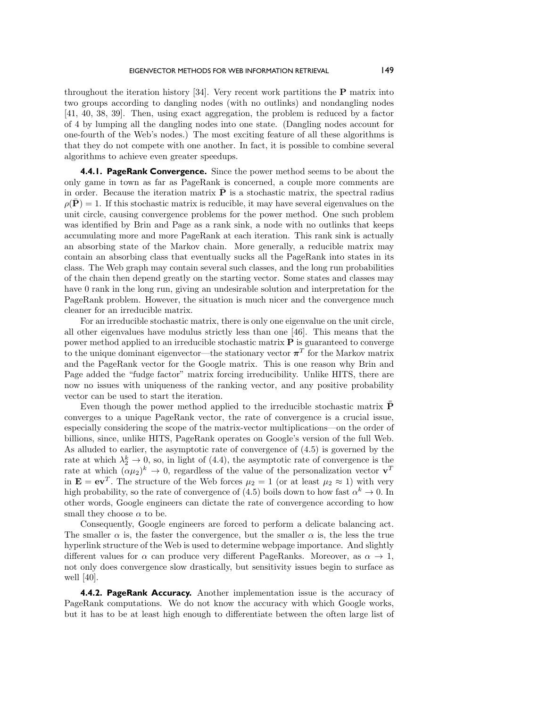throughout the iteration history [34]. Very recent work partitions the **P** matrix into two groups according to dangling nodes (with no outlinks) and nondangling nodes [41, 40, 38, 39]. Then, using exact aggregation, the problem is reduced by a factor of 4 by lumping all the dangling nodes into one state. (Dangling nodes account for one-fourth of the Web's nodes.) The most exciting feature of all these algorithms is that they do not compete with one another. In fact, it is possible to combine several algorithms to achieve even greater speedups.

**4.4.1. PageRank Convergence.** Since the power method seems to be about the only game in town as far as PageRank is concerned, a couple more comments are in order. Because the iteration matrix  $\overline{P}$  is a stochastic matrix, the spectral radius  $\rho(\bar{P}) = 1$ . If this stochastic matrix is reducible, it may have several eigenvalues on the unit circle, causing convergence problems for the power method. One such problem was identified by Brin and Page as a rank sink, a node with no outlinks that keeps accumulating more and more PageRank at each iteration. This rank sink is actually an absorbing state of the Markov chain. More generally, a reducible matrix may contain an absorbing class that eventually sucks all the PageRank into states in its class. The Web graph may contain several such classes, and the long run probabilities of the chain then depend greatly on the starting vector. Some states and classes may have 0 rank in the long run, giving an undesirable solution and interpretation for the PageRank problem. However, the situation is much nicer and the convergence much cleaner for an irreducible matrix.

For an irreducible stochastic matrix, there is only one eigenvalue on the unit circle, all other eigenvalues have modulus strictly less than one [46]. This means that the power method applied to an irreducible stochastic matrix **P** is guaranteed to converge to the unique dominant eigenvector—the stationary vector  $\pi^T$  for the Markov matrix and the PageRank vector for the Google matrix. This is one reason why Brin and Page added the "fudge factor" matrix forcing irreducibility. Unlike HITS, there are now no issues with uniqueness of the ranking vector, and any positive probability vector can be used to start the iteration.

Even though the power method applied to the irreducible stochastic matrix **P** converges to a unique PageRank vector, the rate of convergence is a crucial issue, especially considering the scope of the matrix-vector multiplications—on the order of billions, since, unlike HITS, PageRank operates on Google's version of the full Web. As alluded to earlier, the asymptotic rate of convergence of (4.5) is governed by the rate at which  $\lambda_2^k \to 0$ , so, in light of (4.4), the asymptotic rate of convergence is the rate at which  $(\alpha \mu_2)^k \to 0$ , regardless of the value of the personalization vector **v**<sup>T</sup> in  $\mathbf{E} = \mathbf{e}\mathbf{v}^T$ . The structure of the Web forces  $\mu_2 = 1$  (or at least  $\mu_2 \approx 1$ ) with very high probability, so the rate of convergence of (4.5) boils down to how fast  $\alpha^k \to 0$ . In other words, Google engineers can dictate the rate of convergence according to how small they choose  $\alpha$  to be.

Consequently, Google engineers are forced to perform a delicate balancing act. The smaller  $\alpha$  is, the faster the convergence, but the smaller  $\alpha$  is, the less the true hyperlink structure of the Web is used to determine webpage importance. And slightly different values for  $\alpha$  can produce very different PageRanks. Moreover, as  $\alpha \to 1$ , not only does convergence slow drastically, but sensitivity issues begin to surface as well [40].

**4.4.2. PageRank Accuracy.** Another implementation issue is the accuracy of PageRank computations. We do not know the accuracy with which Google works, but it has to be at least high enough to differentiate between the often large list of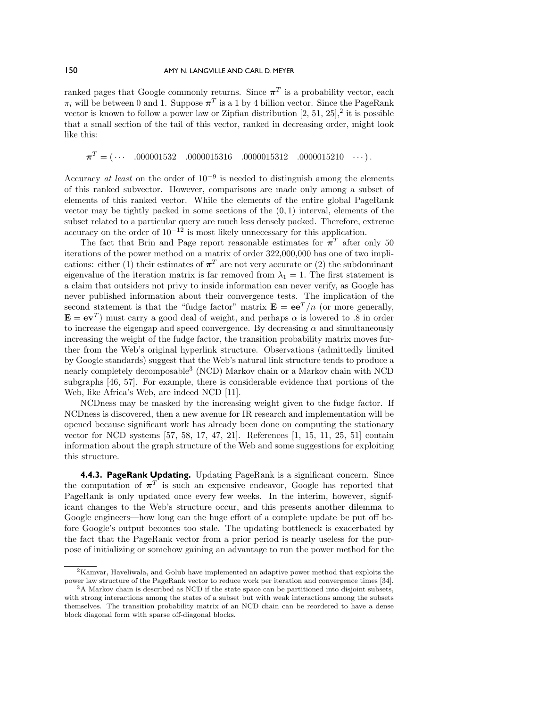ranked pages that Google commonly returns. Since  $\pi^T$  is a probability vector, each  $\pi_i$  will be between 0 and 1. Suppose  $\pi^T$  is a 1 by 4 billion vector. Since the PageRank vector is known to follow a power law or Zipfian distribution  $[2, 51, 25]$ , it is possible that a small section of the tail of this vector, ranked in decreasing order, might look like this:

 $\boldsymbol{\pi}^T = (\cdots 000001532 0000015316 0000015312 0000015210 \cdots).$ 

Accuracy *at least* on the order of  $10^{-9}$  is needed to distinguish among the elements of this ranked subvector. However, comparisons are made only among a subset of elements of this ranked vector. While the elements of the entire global PageRank vector may be tightly packed in some sections of the  $(0, 1)$  interval, elements of the subset related to a particular query are much less densely packed. Therefore, extreme accuracy on the order of  $10^{-12}$  is most likely unnecessary for this application.

The fact that Brin and Page report reasonable estimates for  $\pi^T$  after only 50 iterations of the power method on a matrix of order 322,000,000 has one of two implications: either (1) their estimates of  $\pi^{T}$  are not very accurate or (2) the subdominant eigenvalue of the iteration matrix is far removed from  $\lambda_1 = 1$ . The first statement is a claim that outsiders not privy to inside information can never verify, as Google has never published information about their convergence tests. The implication of the second statement is that the "fudge factor" matrix  $\mathbf{E} = \mathbf{e} \mathbf{e}^T/n$  (or more generally,  $\mathbf{E} = \mathbf{e}\mathbf{v}^T$  must carry a good deal of weight, and perhaps  $\alpha$  is lowered to .8 in order to increase the eigengap and speed convergence. By decreasing  $\alpha$  and simultaneously increasing the weight of the fudge factor, the transition probability matrix moves further from the Web's original hyperlink structure. Observations (admittedly limited by Google standards) suggest that the Web's natural link structure tends to produce a nearly completely decomposable<sup>3</sup> (NCD) Markov chain or a Markov chain with NCD subgraphs [46, 57]. For example, there is considerable evidence that portions of the Web, like Africa's Web, are indeed NCD [11].

NCDness may be masked by the increasing weight given to the fudge factor. If NCDness is discovered, then a new avenue for IR research and implementation will be opened because significant work has already been done on computing the stationary vector for NCD systems [57, 58, 17, 47, 21]. References [1, 15, 11, 25, 51] contain information about the graph structure of the Web and some suggestions for exploiting this structure.

**4.4.3. PageRank Updating.** Updating PageRank is a significant concern. Since the computation of  $\pi^T$  is such an expensive endeavor, Google has reported that PageRank is only updated once every few weeks. In the interim, however, significant changes to the Web's structure occur, and this presents another dilemma to Google engineers—how long can the huge effort of a complete update be put off before Google's output becomes too stale. The updating bottleneck is exacerbated by the fact that the PageRank vector from a prior period is nearly useless for the purpose of initializing or somehow gaining an advantage to run the power method for the

<sup>2</sup>Kamvar, Haveliwala, and Golub have implemented an adaptive power method that exploits the power law structure of the PageRank vector to reduce work per iteration and convergence times [34].

<sup>3</sup>A Markov chain is described as NCD if the state space can be partitioned into disjoint subsets, with strong interactions among the states of a subset but with weak interactions among the subsets themselves. The transition probability matrixof an NCD chain can be reordered to have a dense block diagonal form with sparse off-diagonal blocks.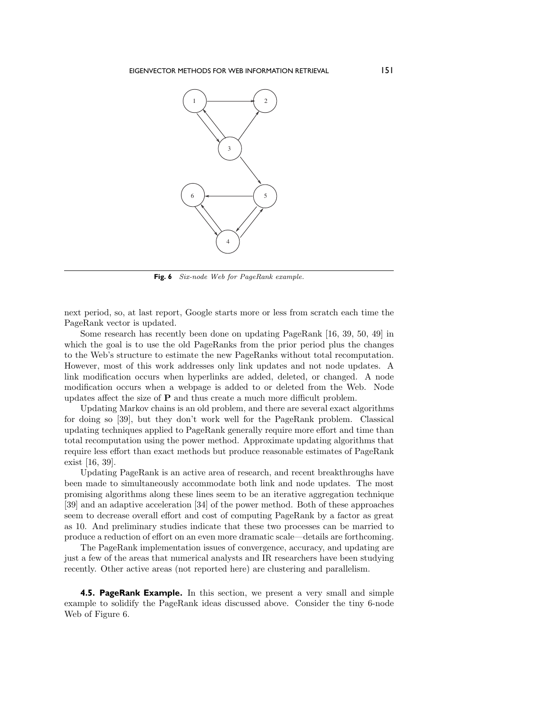

**Fig. 6** Six-node Web for PageRank example.

next period, so, at last report, Google starts more or less from scratch each time the PageRank vector is updated.

Some research has recently been done on updating PageRank [16, 39, 50, 49] in which the goal is to use the old PageRanks from the prior period plus the changes to the Web's structure to estimate the new PageRanks without total recomputation. However, most of this work addresses only link updates and not node updates. A link modification occurs when hyperlinks are added, deleted, or changed. A node modification occurs when a webpage is added to or deleted from the Web. Node updates affect the size of **P** and thus create a much more difficult problem.

Updating Markov chains is an old problem, and there are several exact algorithms for doing so [39], but they don't work well for the PageRank problem. Classical updating techniques applied to PageRank generally require more effort and time than total recomputation using the power method. Approximate updating algorithms that require less effort than exact methods but produce reasonable estimates of PageRank exist [16, 39].

Updating PageRank is an active area of research, and recent breakthroughs have been made to simultaneously accommodate both link and node updates. The most promising algorithms along these lines seem to be an iterative aggregation technique [39] and an adaptive acceleration [34] of the power method. Both of these approaches seem to decrease overall effort and cost of computing PageRank by a factor as great as 10. And preliminary studies indicate that these two processes can be married to produce a reduction of effort on an even more dramatic scale—details are forthcoming.

The PageRank implementation issues of convergence, accuracy, and updating are just a few of the areas that numerical analysts and IR researchers have been studying recently. Other active areas (not reported here) are clustering and parallelism.

**4.5. PageRank Example.** In this section, we present a very small and simple example to solidify the PageRank ideas discussed above. Consider the tiny 6-node Web of Figure 6.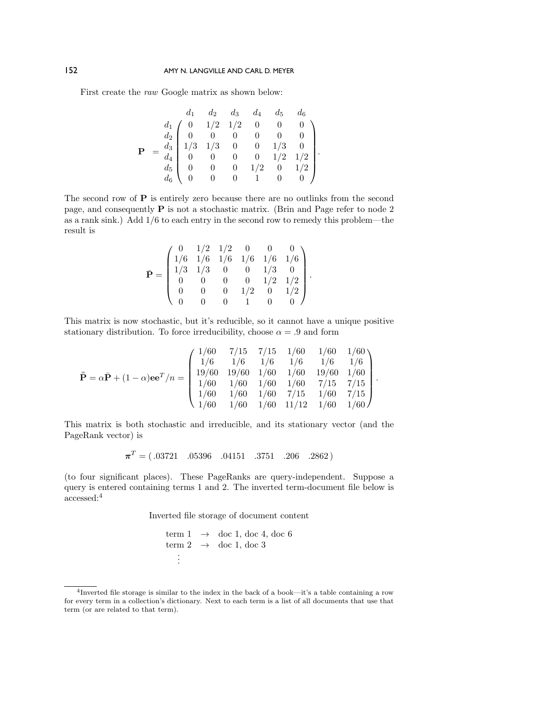First create the raw Google matrix as shown below:

|  |  |  | $d_1$ $d_2$ $d_3$ $d_4$ $d_5$ $d_6$ |                                                                                                                                                                                                                                                                                  |
|--|--|--|-------------------------------------|----------------------------------------------------------------------------------------------------------------------------------------------------------------------------------------------------------------------------------------------------------------------------------|
|  |  |  |                                     | $\begin{array}{c} d_1\\ d_2\\ d_3\\ =\dfrac{d_3}{d_4}\\ d_5\\ d_6\\ 0\qquad 0\qquad 0\qquad 0\qquad 0\qquad 0\qquad 0\qquad 0\\ d_7\\ d_8\\ 0\qquad 0\qquad 0\qquad 0\qquad 1/2\qquad 0\qquad 1/2\\ d_8\\ 0\qquad 0\qquad 0\qquad 0\qquad 1\qquad 0\qquad 0\qquad 0 \end{array}$ |
|  |  |  |                                     |                                                                                                                                                                                                                                                                                  |
|  |  |  |                                     |                                                                                                                                                                                                                                                                                  |
|  |  |  |                                     |                                                                                                                                                                                                                                                                                  |
|  |  |  |                                     |                                                                                                                                                                                                                                                                                  |
|  |  |  |                                     |                                                                                                                                                                                                                                                                                  |

.

.

The second row of **P** is entirely zero because there are no outlinks from the second page, and consequently **P** is not a stochastic matrix. (Brin and Page refer to node 2 as a rank sink.) Add 1/6 to each entry in the second row to remedy this problem—the result is

$$
\bar{\mathbf{P}} = \begin{pmatrix}\n0 & 1/2 & 1/2 & 0 & 0 & 0 \\
1/6 & 1/6 & 1/6 & 1/6 & 1/6 & 1/6 \\
1/3 & 1/3 & 0 & 0 & 1/3 & 0 \\
0 & 0 & 0 & 0 & 1/2 & 1/2 \\
0 & 0 & 0 & 1/2 & 0 & 1/2 \\
0 & 0 & 0 & 1 & 0 & 0\n\end{pmatrix}.
$$

This matrix is now stochastic, but it's reducible, so it cannot have a unique positive stationary distribution. To force irreducibility, choose  $\alpha = .9$  and form

$$
\bar{\mathbf{P}} = \alpha \bar{\mathbf{P}} + (1 - \alpha) \mathbf{e} \mathbf{e}^T / n = \begin{pmatrix} 1/60 & 7/15 & 7/15 & 1/60 & 1/60 & 1/60 \\ 1/6 & 1/6 & 1/6 & 1/6 & 1/6 & 1/6 \\ 19/60 & 19/60 & 1/60 & 1/60 & 19/60 & 1/60 \\ 1/60 & 1/60 & 1/60 & 1/60 & 7/15 & 7/15 \\ 1/60 & 1/60 & 1/60 & 7/15 & 1/60 & 7/15 \\ 1/60 & 1/60 & 1/60 & 11/12 & 1/60 & 1/60 \end{pmatrix}
$$

This matrix is both stochastic and irreducible, and its stationary vector (and the PageRank vector) is

$$
\boldsymbol{\pi}^T = (0.03721 \quad 0.05396 \quad 0.04151 \quad 0.3751 \quad 0.206 \quad 0.2862)
$$

(to four significant places). These PageRanks are query-independent. Suppose a query is entered containing terms 1 and 2. The inverted term-document file below is accessed:<sup>4</sup>

Inverted file storage of document content

term 1 
$$
\rightarrow
$$
 doc 1, doc 4, doc 6  
term 2  $\rightarrow$  doc 1, doc 3  
:

<sup>&</sup>lt;sup>4</sup>Inverted file storage is similar to the index in the back of a book—it's a table containing a row for every term in a collection's dictionary. Next to each term is a list of all documents that use that term (or are related to that term).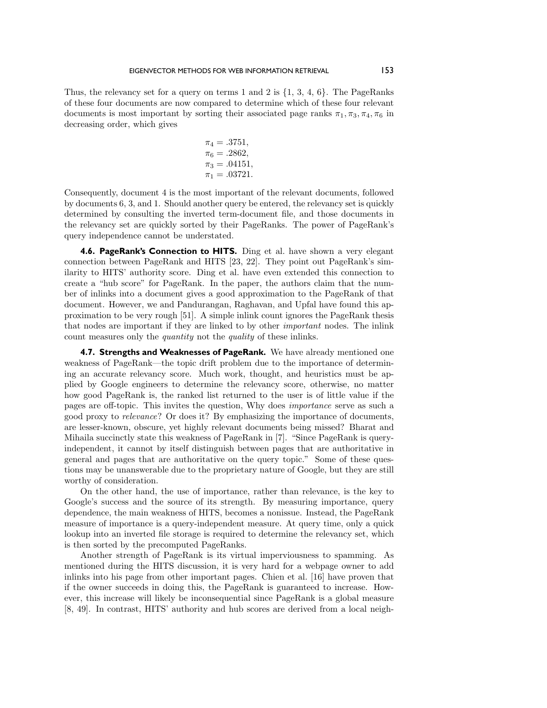Thus, the relevancy set for a query on terms 1 and 2 is  $\{1, 3, 4, 6\}$ . The PageRanks of these four documents are now compared to determine which of these four relevant documents is most important by sorting their associated page ranks  $\pi_1, \pi_3, \pi_4, \pi_6$  in decreasing order, which gives

$$
\pi_4 = .3751,
$$
  
\n
$$
\pi_6 = .2862,
$$
  
\n
$$
\pi_3 = .04151,
$$
  
\n
$$
\pi_1 = .03721.
$$

Consequently, document 4 is the most important of the relevant documents, followed by documents 6, 3, and 1. Should another query be entered, the relevancy set is quickly determined by consulting the inverted term-document file, and those documents in the relevancy set are quickly sorted by their PageRanks. The power of PageRank's query independence cannot be understated.

**4.6. PageRank's Connection to HITS.** Ding et al. have shown a very elegant connection between PageRank and HITS [23, 22]. They point out PageRank's similarity to HITS' authority score. Ding et al. have even extended this connection to create a "hub score" for PageRank. In the paper, the authors claim that the number of inlinks into a document gives a good approximation to the PageRank of that document. However, we and Pandurangan, Raghavan, and Upfal have found this approximation to be very rough [51]. A simple inlink count ignores the PageRank thesis that nodes are important if they are linked to by other important nodes. The inlink count measures only the quantity not the quality of these inlinks.

**4.7. Strengths and Weaknesses of PageRank.** We have already mentioned one weakness of PageRank—the topic drift problem due to the importance of determining an accurate relevancy score. Much work, thought, and heuristics must be applied by Google engineers to determine the relevancy score, otherwise, no matter how good PageRank is, the ranked list returned to the user is of little value if the pages are off-topic. This invites the question, Why does importance serve as such a good proxy to relevance? Or does it? By emphasizing the importance of documents, are lesser-known, obscure, yet highly relevant documents being missed? Bharat and Mihaila succinctly state this weakness of PageRank in [7]. "Since PageRank is queryindependent, it cannot by itself distinguish between pages that are authoritative in general and pages that are authoritative on the query topic." Some of these questions may be unanswerable due to the proprietary nature of Google, but they are still worthy of consideration.

On the other hand, the use of importance, rather than relevance, is the key to Google's success and the source of its strength. By measuring importance, query dependence, the main weakness of HITS, becomes a nonissue. Instead, the PageRank measure of importance is a query-independent measure. At query time, only a quick lookup into an inverted file storage is required to determine the relevancy set, which is then sorted by the precomputed PageRanks.

Another strength of PageRank is its virtual imperviousness to spamming. As mentioned during the HITS discussion, it is very hard for a webpage owner to add inlinks into his page from other important pages. Chien et al. [16] have proven that if the owner succeeds in doing this, the PageRank is guaranteed to increase. However, this increase will likely be inconsequential since PageRank is a global measure [8, 49]. In contrast, HITS' authority and hub scores are derived from a local neigh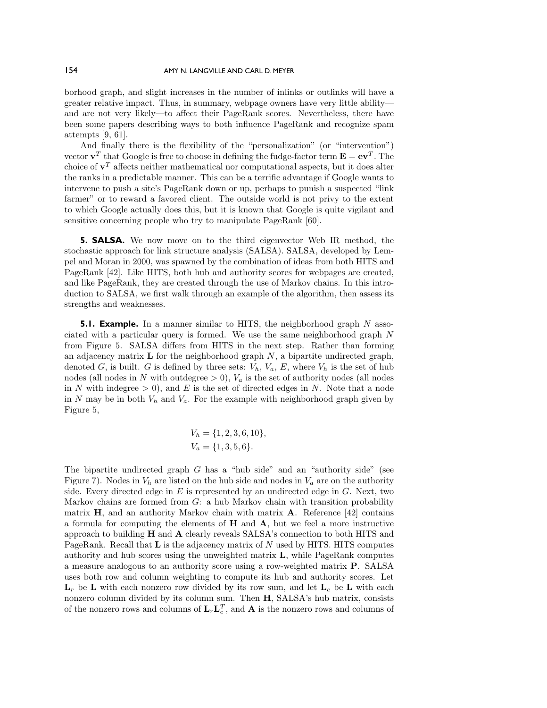borhood graph, and slight increases in the number of inlinks or outlinks will have a greater relative impact. Thus, in summary, webpage owners have very little ability and are not very likely—to affect their PageRank scores. Nevertheless, there have been some papers describing ways to both influence PageRank and recognize spam attempts [9, 61].

And finally there is the flexibility of the "personalization" (or "intervention") vector  $\mathbf{v}^T$  that Google is free to choose in defining the fudge-factor term  $\mathbf{E} = \mathbf{e}\mathbf{v}^T$ . The choice of  $v^T$  affects neither mathematical nor computational aspects, but it does alter the ranks in a predictable manner. This can be a terrific advantage if Google wants to intervene to push a site's PageRank down or up, perhaps to punish a suspected "link farmer" or to reward a favored client. The outside world is not privy to the extent to which Google actually does this, but it is known that Google is quite vigilant and sensitive concerning people who try to manipulate PageRank [60].

**5. SALSA.** We now move on to the third eigenvector Web IR method, the stochastic approach for link structure analysis (SALSA). SALSA, developed by Lempel and Moran in 2000, was spawned by the combination of ideas from both HITS and PageRank [42]. Like HITS, both hub and authority scores for webpages are created, and like PageRank, they are created through the use of Markov chains. In this introduction to SALSA, we first walk through an example of the algorithm, then assess its strengths and weaknesses.

**5.1. Example.** In a manner similar to HITS, the neighborhood graph N associated with a particular query is formed. We use the same neighborhood graph N from Figure 5. SALSA differs from HITS in the next step. Rather than forming an adjacency matrix  $\bf{L}$  for the neighborhood graph  $N$ , a bipartite undirected graph, denoted G, is built. G is defined by three sets:  $V_h$ ,  $V_a$ , E, where  $V_h$  is the set of hub nodes (all nodes in N with outdegree  $> 0$ ),  $V_a$  is the set of authority nodes (all nodes in N with indegree  $> 0$ , and E is the set of directed edges in N. Note that a node in N may be in both  $V_h$  and  $V_a$ . For the example with neighborhood graph given by Figure 5,

$$
V_h = \{1, 2, 3, 6, 10\},\
$$
  

$$
V_a = \{1, 3, 5, 6\}.
$$

The bipartite undirected graph  $G$  has a "hub side" and an "authority side" (see Figure 7). Nodes in  $V_h$  are listed on the hub side and nodes in  $V_a$  are on the authority side. Every directed edge in  $E$  is represented by an undirected edge in  $G$ . Next, two Markov chains are formed from  $G$ : a hub Markov chain with transition probability matrix **H**, and an authority Markov chain with matrix **A**. Reference  $[42]$  contains a formula for computing the elements of **H** and **A**, but we feel a more instructive approach to building **H** and **A** clearly reveals SALSA's connection to both HITS and PageRank. Recall that **L** is the adjacency matrix of N used by HITS. HITS computes authority and hub scores using the unweighted matrix **L**, while PageRank computes a measure analogous to an authority score using a row-weighted matrix **P**. SALSA uses both row and column weighting to compute its hub and authority scores. Let  $\mathbf{L}_r$  be **L** with each nonzero row divided by its row sum, and let  $\mathbf{L}_c$  be **L** with each nonzero column divided by its column sum. Then **H**, SALSA's hub matrix, consists of the nonzero rows and columns of  $\mathbf{L}_r \mathbf{L}_c^T$ , and  $\mathbf{A}$  is the nonzero rows and columns of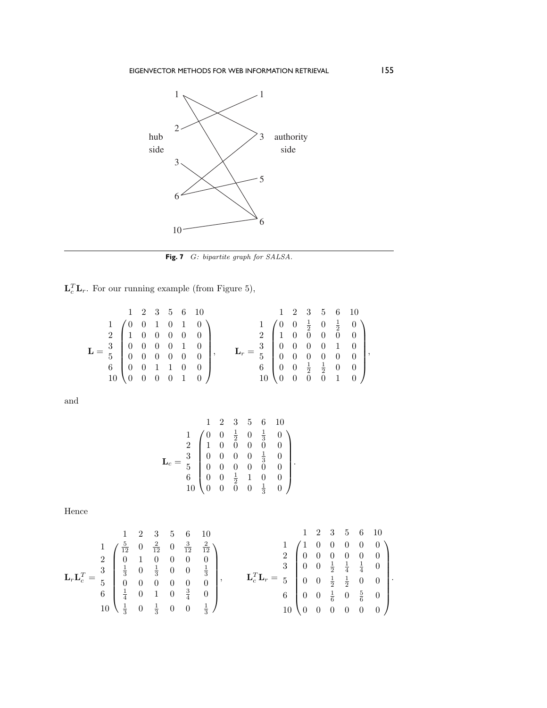

**Fig. 7** G: bipartite graph for SALSA.

 $\mathbf{L}_c^T \mathbf{L}_r$ . For our running example (from Figure 5),

$$
\mathbf{L} = \begin{bmatrix} 1 & 2 & 3 & 5 & 6 & 10 \\ 1 & 0 & 0 & 1 & 0 & 1 \\ 2 & 1 & 0 & 0 & 0 & 0 & 0 \\ 0 & 0 & 0 & 0 & 1 & 0 & 0 \\ 6 & 0 & 0 & 1 & 1 & 0 & 0 \\ 0 & 0 & 0 & 0 & 1 & 0 & 0 \\ 0 & 0 & 0 & 0 & 1 & 0 & 0 \end{bmatrix}, \qquad \mathbf{L}_r = \begin{bmatrix} 1 & 2 & 3 & 5 & 6 & 10 \\ 0 & 0 & \frac{1}{2} & 0 & \frac{1}{2} & 0 \\ 1 & 0 & 0 & 0 & 0 & 0 & 0 \\ 0 & 0 & 0 & 0 & 1 & 0 & 0 \\ 0 & 0 & \frac{1}{2} & \frac{1}{2} & 0 & 0 \\ 0 & 0 & 0 & 0 & 1 & 0 & 0 \end{bmatrix},
$$

and

$$
\mathbf{L}_c = \begin{bmatrix} & 1 & 2 & 3 & 5 & 6 & 10 \\ 1 & 0 & 0 & \frac{1}{2} & 0 & \frac{1}{3} & 0 \\ 2 & 1 & 0 & 0 & 0 & 0 & 0 \\ 3 & 0 & 0 & 0 & 0 & \frac{1}{3} & 0 \\ 0 & 0 & 0 & 0 & 0 & 0 & 0 \\ 6 & 0 & 0 & \frac{1}{2} & 1 & 0 & 0 \\ 10 & 0 & 0 & 0 & 0 & \frac{1}{3} & 0 \end{bmatrix}.
$$

Hence

$$
\mathbf{L}_{r}\mathbf{L}_{c}^{T} = \begin{bmatrix} 1 & 2 & 3 & 5 & 6 & 10 \\ \frac{5}{12} & 0 & \frac{2}{12} & 0 & \frac{3}{12} & \frac{2}{12} \\ 0 & 1 & 0 & 0 & 0 & 0 \\ \frac{1}{3} & 0 & \frac{1}{3} & 0 & 0 & \frac{1}{3} \\ 0 & 0 & 0 & 0 & 0 & 0 \\ 6 & \frac{1}{4} & 0 & 1 & 0 & \frac{3}{4} & 0 \\ \frac{1}{3} & 0 & \frac{1}{3} & 0 & 0 & \frac{1}{3} \end{bmatrix}, \qquad \mathbf{L}_{c}^{T}\mathbf{L}_{r} = \begin{bmatrix} 1 & 0 & 0 & 0 & 0 & 0 \\ 0 & 0 & 0 & 0 & 0 & 0 \\ 0 & 0 & \frac{1}{2} & \frac{1}{4} & \frac{1}{4} & 0 \\ 0 & 0 & \frac{1}{2} & \frac{1}{2} & 0 & 0 \\ 0 & 0 & \frac{1}{6} & 0 & \frac{5}{6} & 0 \\ 0 & 0 & 0 & 0 & 0 & 0 \end{bmatrix}.
$$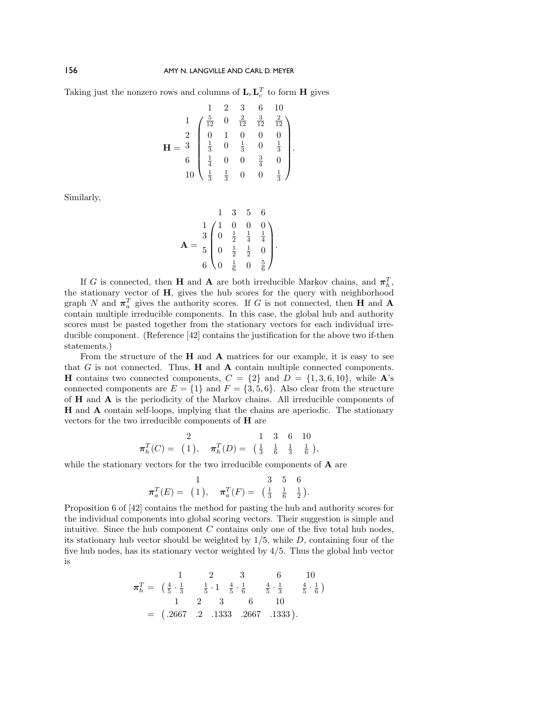Taking just the nonzero rows and columns of  $\mathbf{L}_r \mathbf{L}_c^T$  to form **H** gives

$$
\mathbf{H} = \begin{pmatrix} 1 & 2 & 3 & 6 & 10 \\ 1 & \frac{5}{12} & 0 & \frac{2}{12} & \frac{3}{12} & \frac{2}{12} \\ 0 & 1 & 0 & 0 & 0 \\ \frac{1}{3} & 0 & \frac{1}{3} & 0 & \frac{1}{3} \\ 6 & \frac{1}{4} & 0 & 0 & \frac{3}{4} & 0 \\ 10 & \frac{1}{3} & \frac{1}{3} & 0 & 0 & \frac{1}{3} \end{pmatrix}.
$$

Similarly,

$$
\mathbf{A} = \begin{pmatrix} 1 & 3 & 5 & 6 \\ 1 & 0 & 0 & 0 \\ 3 & 0 & \frac{1}{2} & \frac{1}{4} & \frac{1}{4} \\ 0 & \frac{1}{2} & \frac{1}{2} & 0 \\ 6 & 0 & \frac{1}{6} & 0 & \frac{5}{6} \end{pmatrix}.
$$

If G is connected, then **H** and **A** are both irreducible Markov chains, and  $\pi_h^T$ , the stationary vector of **H**, gives the hub scores for the query with neighborhood graph N and  $\pi_a^T$  gives the authority scores. If G is not connected, then **H** and **A** contain multiple irreducible components. In this case, the global hub and authority scores must be pasted together from the stationary vectors for each individual irreducible component. (Reference [42] contains the justification for the above two if-then statements.)

From the structure of the **H** and **A** matrices for our example, it is easy to see that G is not connected. Thus, **H** and **A** contain multiple connected components. **H** contains two connected components,  $C = \{2\}$  and  $D = \{1, 3, 6, 10\}$ , while **A**'s connected components are  $E = \{1\}$  and  $F = \{3, 5, 6\}$ . Also clear from the structure of **H** and **A** is the periodicity of the Markov chains. All irreducible components of **H** and **A** contain self-loops, implying that the chains are aperiodic. The stationary vectors for the two irreducible components of **H** are

$$
\pi_h^T(C) = \begin{pmatrix} 2 & 1 & 3 & 6 & 10 \\ 1 & 6 & \pi_h^T(D) = \begin{pmatrix} \frac{1}{3} & \frac{1}{6} & \frac{1}{3} & \frac{1}{6} \end{pmatrix},
$$

while the stationary vectors for the two irreducible components of **A** are

$$
\pi_a^T(E) = \begin{pmatrix} 1 \\ 1 \end{pmatrix}, \quad \pi_a^T(F) = \begin{pmatrix} 3 & 5 & 6 \\ \frac{1}{3} & \frac{1}{6} & \frac{1}{2} \end{pmatrix}.
$$

Proposition 6 of [42] contains the method for pasting the hub and authority scores for the individual components into global scoring vectors. Their suggestion is simple and intuitive. Since the hub component  $C$  contains only one of the five total hub nodes, its stationary hub vector should be weighted by  $1/5$ , while D, containing four of the five hub nodes, has its stationary vector weighted by 4/5. Thus the global hub vector is

$$
\pi_h^T = \begin{pmatrix} 1 & 2 & 3 & 6 & 10 \\ \frac{4}{5} \cdot \frac{1}{3} & \frac{1}{5} \cdot 1 & \frac{4}{5} \cdot \frac{1}{6} & \frac{4}{5} \cdot \frac{1}{3} & \frac{4}{5} \cdot \frac{1}{6} \end{pmatrix}
$$
  
=  $(.2667 \cdot .2 \cdot .1333 \cdot .2667 \cdot .1333).$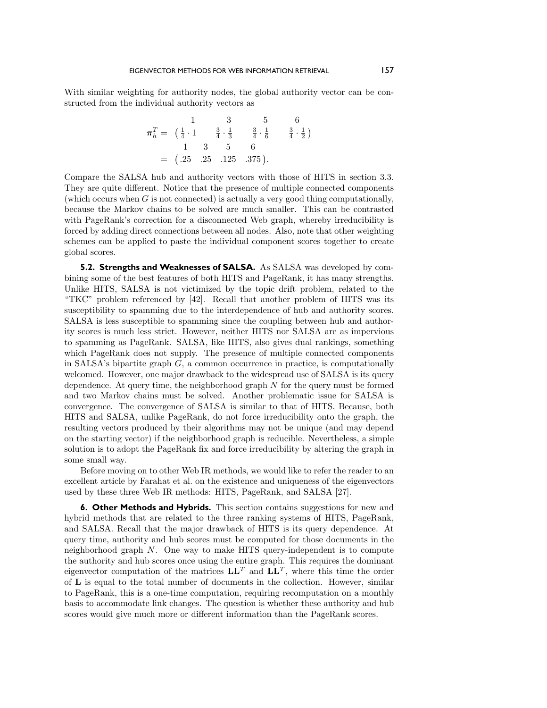With similar weighting for authority nodes, the global authority vector can be constructed from the individual authority vectors as

$$
\pi_h^T = \begin{pmatrix} 1 & 3 & 5 & 6 \\ \frac{1}{4} \cdot 1 & \frac{3}{4} \cdot \frac{1}{3} & \frac{3}{4} \cdot \frac{1}{6} & \frac{3}{4} \cdot \frac{1}{2} \end{pmatrix}
$$
  
=  $(.25 \quad .25 \quad .125 \quad .375).$ 

Compare the SALSA hub and authority vectors with those of HITS in section 3.3. They are quite different. Notice that the presence of multiple connected components (which occurs when  $G$  is not connected) is actually a very good thing computationally, because the Markov chains to be solved are much smaller. This can be contrasted with PageRank's correction for a disconnected Web graph, whereby irreducibility is forced by adding direct connections between all nodes. Also, note that other weighting schemes can be applied to paste the individual component scores together to create global scores.

**5.2. Strengths and Weaknesses of SALSA.** As SALSA was developed by combining some of the best features of both HITS and PageRank, it has many strengths. Unlike HITS, SALSA is not victimized by the topic drift problem, related to the "TKC" problem referenced by [42]. Recall that another problem of HITS was its susceptibility to spamming due to the interdependence of hub and authority scores. SALSA is less susceptible to spamming since the coupling between hub and authority scores is much less strict. However, neither HITS nor SALSA are as impervious to spamming as PageRank. SALSA, like HITS, also gives dual rankings, something which PageRank does not supply. The presence of multiple connected components in SALSA's bipartite graph  $G$ , a common occurrence in practice, is computationally welcomed. However, one major drawback to the widespread use of SALSA is its query dependence. At query time, the neighborhood graph N for the query must be formed and two Markov chains must be solved. Another problematic issue for SALSA is convergence. The convergence of SALSA is similar to that of HITS. Because, both HITS and SALSA, unlike PageRank, do not force irreducibility onto the graph, the resulting vectors produced by their algorithms may not be unique (and may depend on the starting vector) if the neighborhood graph is reducible. Nevertheless, a simple solution is to adopt the PageRank fix and force irreducibility by altering the graph in some small way.

Before moving on to other Web IR methods, we would like to refer the reader to an excellent article by Farahat et al. on the existence and uniqueness of the eigenvectors used by these three Web IR methods: HITS, PageRank, and SALSA [27].

**6. Other Methods and Hybrids.** This section contains suggestions for new and hybrid methods that are related to the three ranking systems of HITS, PageRank, and SALSA. Recall that the major drawback of HITS is its query dependence. At query time, authority and hub scores must be computed for those documents in the neighborhood graph N. One way to make HITS query-independent is to compute the authority and hub scores once using the entire graph. This requires the dominant eigenvector computation of the matrices  $\mathbf{LL}^T$  and  $\mathbf{LL}^T$ , where this time the order of **L** is equal to the total number of documents in the collection. However, similar to PageRank, this is a one-time computation, requiring recomputation on a monthly basis to accommodate link changes. The question is whether these authority and hub scores would give much more or different information than the PageRank scores.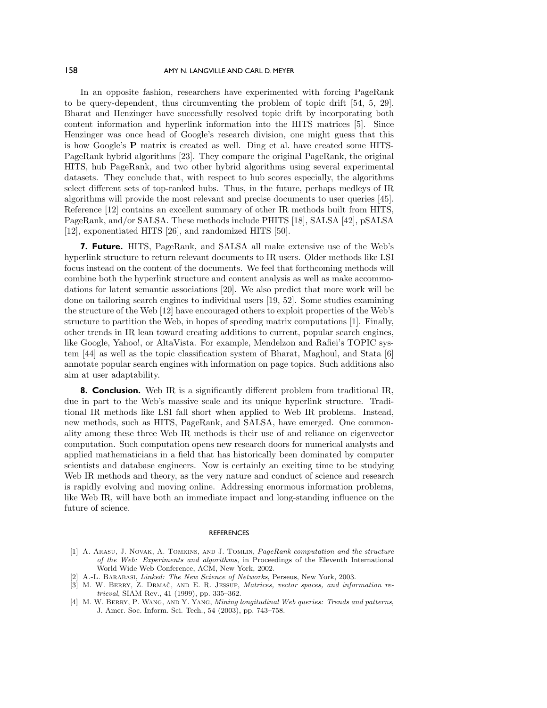In an opposite fashion, researchers have experimented with forcing PageRank to be query-dependent, thus circumventing the problem of topic drift [54, 5, 29]. Bharat and Henzinger have successfully resolved topic drift by incorporating both content information and hyperlink information into the HITS matrices [5]. Since Henzinger was once head of Google's research division, one might guess that this is how Google's **P** matrix is created as well. Ding et al. have created some HITS-PageRank hybrid algorithms [23]. They compare the original PageRank, the original HITS, hub PageRank, and two other hybrid algorithms using several experimental datasets. They conclude that, with respect to hub scores especially, the algorithms select different sets of top-ranked hubs. Thus, in the future, perhaps medleys of IR algorithms will provide the most relevant and precise documents to user queries [45]. Reference [12] contains an excellent summary of other IR methods built from HITS, PageRank, and/or SALSA. These methods include PHITS [18], SALSA [42], pSALSA [12], exponentiated HITS [26], and randomized HITS [50].

**7. Future.** HITS, PageRank, and SALSA all make extensive use of the Web's hyperlink structure to return relevant documents to IR users. Older methods like LSI focus instead on the content of the documents. We feel that forthcoming methods will combine both the hyperlink structure and content analysis as well as make accommodations for latent semantic associations [20]. We also predict that more work will be done on tailoring search engines to individual users [19, 52]. Some studies examining the structure of the Web [12] have encouraged others to exploit properties of the Web's structure to partition the Web, in hopes of speeding matrix computations [1]. Finally, other trends in IR lean toward creating additions to current, popular search engines, like Google, Yahoo!, or AltaVista. For example, Mendelzon and Rafiei's TOPIC system [44] as well as the topic classification system of Bharat, Maghoul, and Stata [6] annotate popular search engines with information on page topics. Such additions also aim at user adaptability.

**8. Conclusion.** Web IR is a significantly different problem from traditional IR, due in part to the Web's massive scale and its unique hyperlink structure. Traditional IR methods like LSI fall short when applied to Web IR problems. Instead, new methods, such as HITS, PageRank, and SALSA, have emerged. One commonality among these three Web IR methods is their use of and reliance on eigenvector computation. Such computation opens new research doors for numerical analysts and applied mathematicians in a field that has historically been dominated by computer scientists and database engineers. Now is certainly an exciting time to be studying Web IR methods and theory, as the very nature and conduct of science and research is rapidly evolving and moving online. Addressing enormous information problems, like Web IR, will have both an immediate impact and long-standing influence on the future of science.

## **REFERENCES**

- [1] A. ARASU, J. NOVAK, A. TOMKINS, AND J. TOMLIN, PageRank computation and the structure of the Web: Experiments and algorithms, in Proceedings of the Eleventh International World Wide Web Conference, ACM, New York, 2002.
- [2] A.-L. BARABASI, Linked: The New Science of Networks, Perseus, New York, 2003.
- $[3]$  M. W. BERRY, Z. DRMAC, AND E. R. JESSUP, *Matrices, vector spaces, and information re*trieval, SIAM Rev., 41 (1999), pp. 335–362.
- [4] M. W. BERRY, P. WANG, AND Y. YANG, *Mining longitudinal Web queries: Trends and patterns*, J. Amer. Soc. Inform. Sci. Tech., 54 (2003), pp. 743–758.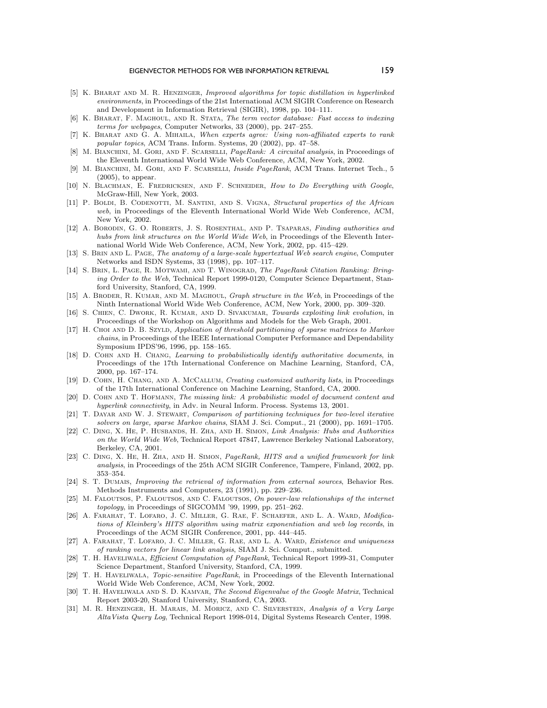- [5] K. Bharat and M. R. Henzinger, Improved algorithms for topic distillation in hyperlinked environments, in Proceedings of the 21st International ACM SIGIR Conference on Research and Development in Information Retrieval (SIGIR), 1998, pp. 104–111.
- [6] K. BHARAT, F. MAGHOUL, AND R. STATA, The term vector database: Fast access to indexing terms for webpages, Computer Networks, 33 (2000), pp. 247–255.
- [7] K. Bharat and G. A. Mihaila, When experts agree: Using non-affiliated experts to rank popular topics, ACM Trans. Inform. Systems, 20 (2002), pp. 47–58.
- [8] M. BIANCHINI, M. GORI, AND F. SCARSELLI, PageRank: A circuital analysis, in Proceedings of the Eleventh International World Wide Web Conference, ACM, New York, 2002.
- [9] M. BIANCHINI, M. GORI, AND F. SCARSELLI, *Inside PageRank*, ACM Trans. Internet Tech., 5 (2005), to appear.
- [10] N. BLACHMAN, E. FREDRICKSEN, AND F. SCHNEIDER, How to Do Everything with Google, McGraw-Hill, New York, 2003.
- [11] P. BOLDI, B. CODENOTTI, M. SANTINI, AND S. VIGNA, Structural properties of the African web, in Proceedings of the Eleventh International World Wide Web Conference, ACM, New York, 2002.
- [12] A. Borodin, G. O. Roberts, J. S. Rosenthal, and P. Tsaparas, Finding authorities and hubs from link structures on the World Wide Web, in Proceedings of the Eleventh International World Wide Web Conference, ACM, New York, 2002, pp. 415–429.
- [13] S. BRIN AND L. PAGE, The anatomy of a large-scale hypertextual Web search engine, Computer Networks and ISDN Systems, 33 (1998), pp. 107–117.
- [14] S. Brin, L. Page, R. Motwami, and T. Winograd, The PageRank Citation Ranking: Bringing Order to the Web, Technical Report 1999-0120, Computer Science Department, Stanford University, Stanford, CA, 1999.
- [15] A. BRODER, R. KUMAR, AND M. MAGHOUL, Graph structure in the Web, in Proceedings of the Ninth International World Wide Web Conference, ACM, New York, 2000, pp. 309–320.
- [16] S. CHIEN, C. DWORK, R. KUMAR, AND D. SIVAKUMAR, Towards exploiting link evolution, in Proceedings of the Workshop on Algorithms and Models for the Web Graph, 2001.
- [17] H. CHOI AND D. B. SZYLD, Application of threshold partitioning of sparse matrices to Markov chains, in Proceedings of the IEEE International Computer Performance and Dependability Symposium IPDS'96, 1996, pp. 158–165.
- [18] D. COHN AND H. CHANG, Learning to probabilistically identify authoritative documents, in Proceedings of the 17th International Conference on Machine Learning, Stanford, CA, 2000, pp. 167–174.
- [19] D. COHN, H. CHANG, AND A. McCALLUM, Creating customized authority lists, in Proceedings of the 17th International Conference on Machine Learning, Stanford, CA, 2000.
- [20] D. COHN AND T. HOFMANN, The missing link: A probabilistic model of document content and hyperlink connectivity, in Adv. in Neural Inform. Process. Systems 13, 2001.
- [21] T. DAYAR AND W. J. STEWART, Comparison of partitioning techniques for two-level iterative solvers on large, sparse Markov chains, SIAM J. Sci. Comput., 21 (2000), pp. 1691–1705.
- [22] C. Ding, X. He, P. Husbands, H. Zha, and H. Simon, Link Analysis: Hubs and Authorities on the World Wide Web, Technical Report 47847, Lawrence Berkeley National Laboratory, Berkeley, CA, 2001.
- [23] C. Ding, X. He, H. Zha, and H. Simon, PageRank, HITS and a unified framework for link analysis, in Proceedings of the 25th ACM SIGIR Conference, Tampere, Finland, 2002, pp. 353–354.
- [24] S. T. DUMAIS, *Improving the retrieval of information from external sources*, Behavior Res. Methods Instruments and Computers, 23 (1991), pp. 229–236.
- [25] M. Faloutsos, P. Faloutsos, and C. Faloutsos, On power-law relationships of the internet topology, in Proceedings of SIGCOMM '99, 1999, pp. 251–262.
- [26] A. Farahat, T. Lofaro, J. C. Miller, G. Rae, F. Schaefer, and L. A. Ward, Modifications of Kleinberg's HITS algorithm using matrix exponentiation and web log records, in Proceedings of the ACM SIGIR Conference, 2001, pp. 444–445.
- [27] A. FARAHAT, T. LOFARO, J. C. MILLER, G. RAE, AND L. A. WARD, Existence and uniqueness of ranking vectors for linear link analysis, SIAM J. Sci. Comput., submitted.
- [28] T. H. Haveliwala, Efficient Computation of PageRank, Technical Report 1999-31, Computer Science Department, Stanford University, Stanford, CA, 1999.
- [29] T. H. Haveliwala, Topic-sensitive PageRank, in Proceedings of the Eleventh International World Wide Web Conference, ACM, New York, 2002.
- [30] T. H. HAVELIWALA AND S. D. KAMVAR, The Second Eigenvalue of the Google Matrix, Technical Report 2003-20, Stanford University, Stanford, CA, 2003.
- [31] M. R. Henzinger, H. Marais, M. Moricz, and C. Silverstein, Analysis of a Very Large AltaVista Query Log, Technical Report 1998-014, Digital Systems Research Center, 1998.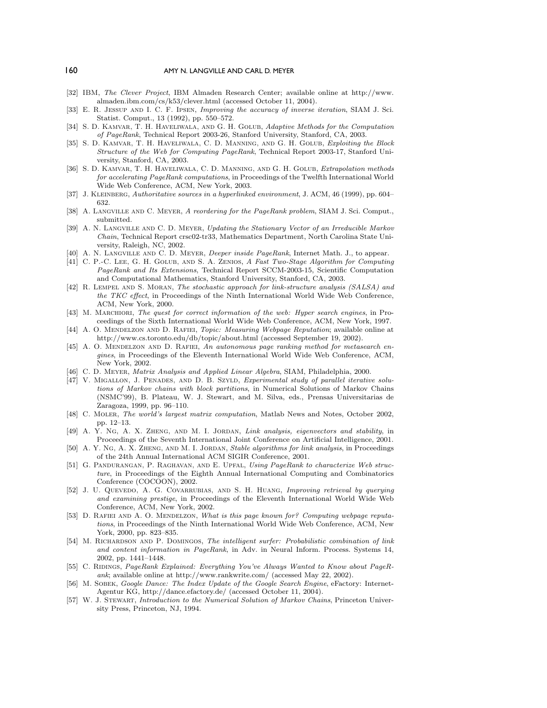## 160 AMY N. LANGVILLE AND CARL D. MEYER

- [32] IBM, The Clever Project, IBM Almaden Research Center; available online at http://www. almaden.ibm.com/cs/k53/clever.html (accessed October 11, 2004).
- [33] E. R. Jessup and I. C. F. Ipsen, Improving the accuracy of inverse iteration, SIAM J. Sci. Statist. Comput., 13 (1992), pp. 550–572.
- [34] S. D. Kamvar, T. H. Haveliwala, and G. H. Golub, Adaptive Methods for the Computation of PageRank, Technical Report 2003-26, Stanford University, Stanford, CA, 2003.
- [35] S. D. Kamvar, T. H. Haveliwala, C. D. Manning, and G. H. Golub, Exploiting the Block Structure of the Web for Computing PageRank, Technical Report 2003-17, Stanford University, Stanford, CA, 2003.
- [36] S. D. Kamvar, T. H. Haveliwala, C. D. Manning, and G. H. Golub, Extrapolation methods for accelerating PageRank computations, in Proceedings of the Twelfth International World Wide Web Conference, ACM, New York, 2003.
- [37] J. KLEINBERG, Authoritative sources in a hyperlinked environment, J. ACM, 46 (1999), pp. 604– 632.
- [38] A. LANGVILLE AND C. MEYER, A reordering for the PageRank problem, SIAM J. Sci. Comput., submitted.
- [39] A. N. LANGVILLE AND C. D. MEYER, Updating the Stationary Vector of an Irreducible Markov Chain, Technical Report crsc02-tr33, Mathematics Department, North Carolina State University, Raleigh, NC, 2002.
- [40] A. N. LANGVILLE AND C. D. MEYER, Deeper inside PageRank, Internet Math. J., to appear.
- [41] C. P.-C. Lee, G. H. Golub, and S. A. Zenios, A Fast Two-Stage Algorithm for Computing PageRank and Its Extensions, Technical Report SCCM-2003-15, Scientific Computation and Computational Mathematics, Stanford University, Stanford, CA, 2003.
- [42] R. LEMPEL AND S. MORAN, The stochastic approach for link-structure analysis (SALSA) and the TKC effect, in Proceedings of the Ninth International World Wide Web Conference, ACM, New York, 2000.
- [43] M. MARCHIORI, The quest for correct information of the web: Hyper search engines, in Proceedings of the Sixth International World Wide Web Conference, ACM, New York, 1997.
- [44] A. O. MENDELZON AND D. RAFIEI, Topic: Measuring Webpage Reputation; available online at http://www.cs.toronto.edu/db/topic/about.html (accessed September 19, 2002).
- [45] A. O. MENDELZON AND D. RAFIEI, An autonomous page ranking method for metasearch engines, in Proceedings of the Eleventh International World Wide Web Conference, ACM, New York, 2002.
- [46] C. D. Meyer, Matrix Analysis and Applied Linear Algebra, SIAM, Philadelphia, 2000.
- [47] V. MIGALLON, J. PENADES, AND D. B. SZYLD, Experimental study of parallel iterative solutions of Markov chains with block partitions, in Numerical Solutions of Markov Chains (NSMC'99), B. Plateau, W. J. Stewart, and M. Silva, eds., Prensas Universitarias de Zaragoza, 1999, pp. 96–110.
- [48] C. MOLER, The world's largest matrix computation, Matlab News and Notes, October 2002, pp. 12–13.
- [49] A. Y. Ng, A. X. Zheng, and M. I. Jordan, Link analysis, eigenvectors and stability, in Proceedings of the Seventh International Joint Conference on Artificial Intelligence, 2001.
- [50] A. Y. NG, A. X. ZHENG, AND M. I. JORDAN, Stable algorithms for link analysis, in Proceedings of the 24th Annual International ACM SIGIR Conference, 2001.
- [51] G. Pandurangan, P. Raghavan, and E. Upfal, Using PageRank to characterize Web structure, in Proceedings of the Eighth Annual International Computing and Combinatorics Conference (COCOON), 2002.
- [52] J. U. QUEVEDO, A. G. COVARRUBIAS, AND S. H. HUANG, Improving retrieval by querying and examining prestige, in Proceedings of the Eleventh International World Wide Web Conference, ACM, New York, 2002.
- [53] D. RAFIEI AND A. O. MENDELZON, What is this page known for? Computing webpage reputations, in Proceedings of the Ninth International World Wide Web Conference, ACM, New York, 2000, pp. 823–835.
- [54] M. Richardson and P. Domingos, The intelligent surfer: Probabilistic combination of link and content information in PageRank, in Adv. in Neural Inform. Process. Systems 14, 2002, pp. 1441–1448.
- [55] C. RIDINGS, PageRank Explained: Everything You've Always Wanted to Know about PageRank; available online at http://www.rankwrite.com/ (accessed May 22, 2002).
- [56] M. SOBEK, Google Dance: The Index Update of the Google Search Engine, eFactory: Internet-Agentur KG, http://dance.efactory.de/ (accessed October 11, 2004).
- [57] W. J. STEWART, *Introduction to the Numerical Solution of Markov Chains*, Princeton University Press, Princeton, NJ, 1994.